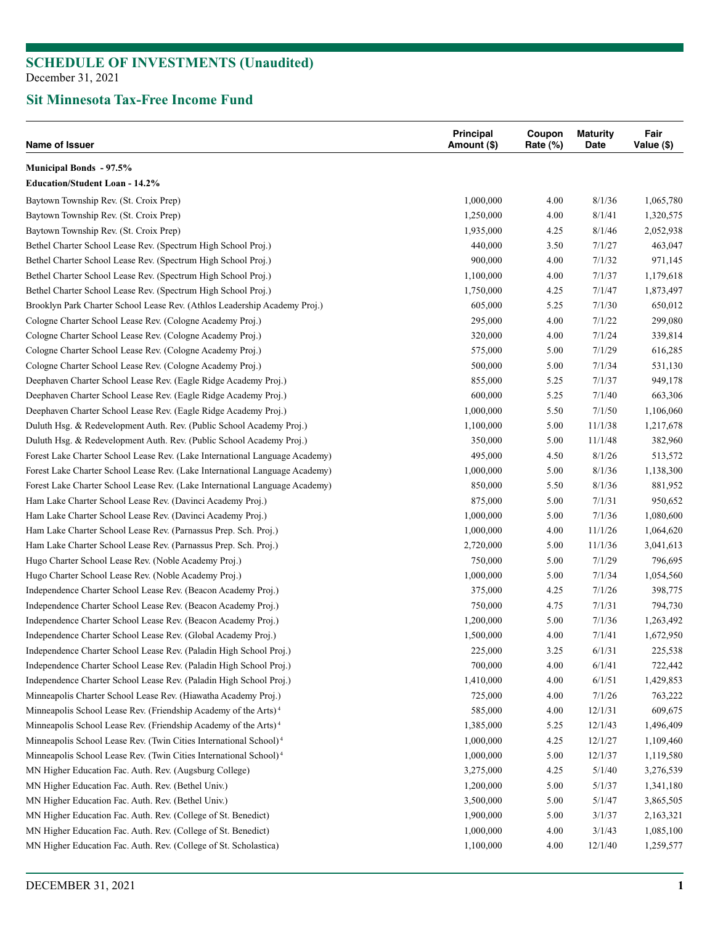## **Sit Minnesota Tax-Free Income Fund**

| Name of Issuer                                                                                                                           | Principal<br>Amount (\$) | Coupon<br>Rate $(\%)$ | <b>Maturity</b><br>Date | Fair<br>Value (\$) |
|------------------------------------------------------------------------------------------------------------------------------------------|--------------------------|-----------------------|-------------------------|--------------------|
| <b>Municipal Bonds - 97.5%</b>                                                                                                           |                          |                       |                         |                    |
| <b>Education/Student Loan - 14.2%</b>                                                                                                    |                          |                       |                         |                    |
| Baytown Township Rev. (St. Croix Prep)                                                                                                   | 1,000,000                | 4.00                  | 8/1/36                  | 1,065,780          |
| Baytown Township Rev. (St. Croix Prep)                                                                                                   | 1,250,000                | 4.00                  | 8/1/41                  | 1,320,575          |
| Baytown Township Rev. (St. Croix Prep)                                                                                                   | 1,935,000                | 4.25                  | 8/1/46                  | 2,052,938          |
| Bethel Charter School Lease Rev. (Spectrum High School Proj.)                                                                            | 440,000                  | 3.50                  | 7/1/27                  | 463,047            |
| Bethel Charter School Lease Rev. (Spectrum High School Proj.)                                                                            | 900,000                  | 4.00                  | 7/1/32                  | 971,145            |
| Bethel Charter School Lease Rev. (Spectrum High School Proj.)                                                                            | 1,100,000                | 4.00                  | 7/1/37                  | 1,179,618          |
| Bethel Charter School Lease Rev. (Spectrum High School Proj.)                                                                            | 1,750,000                | 4.25                  | 7/1/47                  | 1,873,497          |
| Brooklyn Park Charter School Lease Rev. (Athlos Leadership Academy Proj.)                                                                | 605,000                  | 5.25                  | 7/1/30                  | 650,012            |
| Cologne Charter School Lease Rev. (Cologne Academy Proj.)                                                                                | 295,000                  | 4.00                  | 7/1/22                  | 299,080            |
| Cologne Charter School Lease Rev. (Cologne Academy Proj.)                                                                                | 320,000                  | 4.00                  | 7/1/24                  | 339,814            |
| Cologne Charter School Lease Rev. (Cologne Academy Proj.)                                                                                | 575,000                  | 5.00                  | 7/1/29                  | 616,285            |
| Cologne Charter School Lease Rev. (Cologne Academy Proj.)                                                                                | 500,000                  | 5.00                  | 7/1/34                  | 531,130            |
| Deephaven Charter School Lease Rev. (Eagle Ridge Academy Proj.)                                                                          | 855,000                  | 5.25                  | 7/1/37                  | 949,178            |
| Deephaven Charter School Lease Rev. (Eagle Ridge Academy Proj.)                                                                          | 600,000                  | 5.25                  | 7/1/40                  | 663,306            |
| Deephaven Charter School Lease Rev. (Eagle Ridge Academy Proj.)                                                                          | 1,000,000                | 5.50                  | 7/1/50                  | 1,106,060          |
| Duluth Hsg. & Redevelopment Auth. Rev. (Public School Academy Proj.)                                                                     | 1,100,000                | 5.00                  | 11/1/38                 | 1,217,678          |
| Duluth Hsg. & Redevelopment Auth. Rev. (Public School Academy Proj.)                                                                     | 350,000                  | 5.00                  | 11/1/48                 | 382,960            |
| Forest Lake Charter School Lease Rev. (Lake International Language Academy)                                                              | 495,000                  | 4.50                  | 8/1/26                  | 513,572            |
| Forest Lake Charter School Lease Rev. (Lake International Language Academy)                                                              | 1,000,000                | 5.00                  | 8/1/36                  | 1,138,300          |
| Forest Lake Charter School Lease Rev. (Lake International Language Academy)                                                              | 850,000                  | 5.50                  | 8/1/36                  | 881,952            |
| Ham Lake Charter School Lease Rev. (Davinci Academy Proj.)                                                                               | 875,000                  | 5.00                  | 7/1/31                  | 950,652            |
| Ham Lake Charter School Lease Rev. (Davinci Academy Proj.)                                                                               | 1,000,000                | 5.00                  | 7/1/36                  | 1,080,600          |
| Ham Lake Charter School Lease Rev. (Parnassus Prep. Sch. Proj.)                                                                          | 1,000,000                | 4.00                  | 11/1/26                 | 1,064,620          |
| Ham Lake Charter School Lease Rev. (Parnassus Prep. Sch. Proj.)                                                                          | 2,720,000                | 5.00                  | 11/1/36                 | 3,041,613          |
| Hugo Charter School Lease Rev. (Noble Academy Proj.)                                                                                     | 750,000                  | 5.00                  | 7/1/29                  | 796,695            |
| Hugo Charter School Lease Rev. (Noble Academy Proj.)                                                                                     | 1,000,000                | 5.00                  | 7/1/34                  | 1,054,560          |
| Independence Charter School Lease Rev. (Beacon Academy Proj.)                                                                            | 375,000                  | 4.25                  | 7/1/26                  | 398,775            |
| Independence Charter School Lease Rev. (Beacon Academy Proj.)                                                                            |                          |                       | 7/1/31                  |                    |
|                                                                                                                                          | 750,000                  | 4.75                  | 7/1/36                  | 794,730            |
| Independence Charter School Lease Rev. (Beacon Academy Proj.)<br>Independence Charter School Lease Rev. (Global Academy Proj.)           | 1,200,000                | 5.00                  |                         | 1,263,492          |
|                                                                                                                                          | 1,500,000                | 4.00                  | 7/1/41                  | 1,672,950          |
| Independence Charter School Lease Rev. (Paladin High School Proj.)<br>Independence Charter School Lease Rev. (Paladin High School Proj.) | 225,000                  | 3.25                  | 6/1/31                  | 225,538            |
|                                                                                                                                          | 700,000                  | 4.00                  | 6/1/41                  | 722,442            |
| Independence Charter School Lease Rev. (Paladin High School Proj.)                                                                       | 1,410,000                | 4.00                  | 6/1/51                  | 1,429,853          |
| Minneapolis Charter School Lease Rev. (Hiawatha Academy Proj.)                                                                           | 725,000                  | 4.00                  | 7/1/26                  | 763,222            |
| Minneapolis School Lease Rev. (Friendship Academy of the Arts) <sup>4</sup>                                                              | 585,000                  | 4.00                  | 12/1/31                 | 609,675            |
| Minneapolis School Lease Rev. (Friendship Academy of the Arts) <sup>4</sup>                                                              | 1,385,000                | 5.25                  | 12/1/43                 | 1,496,409          |
| Minneapolis School Lease Rev. (Twin Cities International School) <sup>4</sup>                                                            | 1,000,000                | 4.25                  | 12/1/27                 | 1,109,460          |
| Minneapolis School Lease Rev. (Twin Cities International School) <sup>4</sup>                                                            | 1,000,000                | 5.00                  | 12/1/37                 | 1,119,580          |
| MN Higher Education Fac. Auth. Rev. (Augsburg College)                                                                                   | 3,275,000                | 4.25                  | 5/1/40                  | 3,276,539          |
| MN Higher Education Fac. Auth. Rev. (Bethel Univ.)                                                                                       | 1,200,000                | 5.00                  | 5/1/37                  | 1,341,180          |
| MN Higher Education Fac. Auth. Rev. (Bethel Univ.)                                                                                       | 3,500,000                | 5.00                  | 5/1/47                  | 3,865,505          |
| MN Higher Education Fac. Auth. Rev. (College of St. Benedict)                                                                            | 1,900,000                | 5.00                  | 3/1/37                  | 2,163,321          |
| MN Higher Education Fac. Auth. Rev. (College of St. Benedict)                                                                            | 1,000,000                | 4.00                  | 3/1/43                  | 1,085,100          |
| MN Higher Education Fac. Auth. Rev. (College of St. Scholastica)                                                                         | 1,100,000                | 4.00                  | 12/1/40                 | 1,259,577          |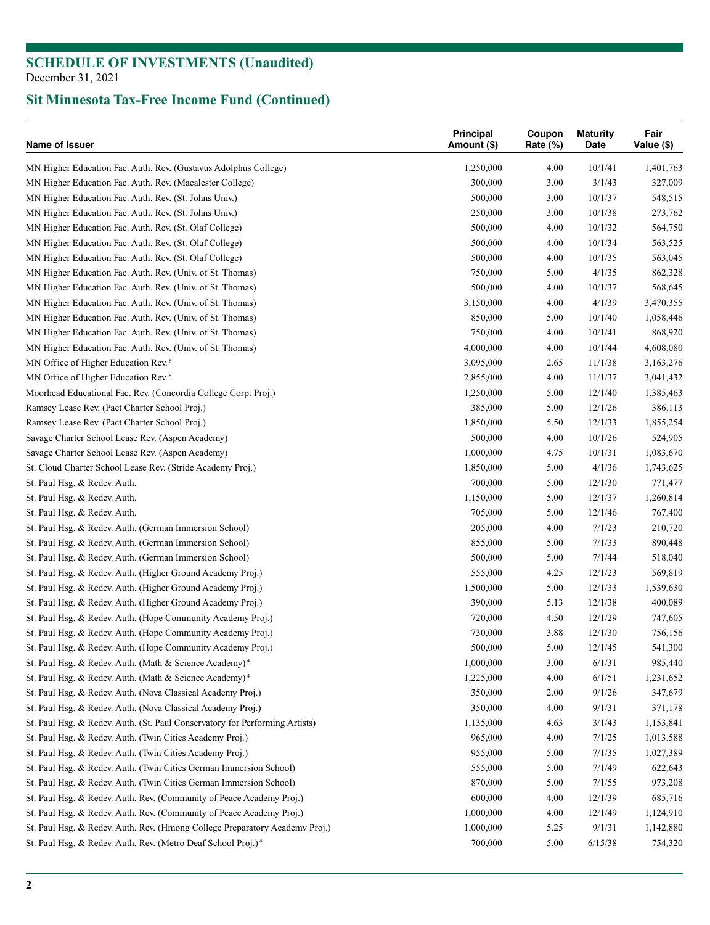| Name of Issuer                                                              | Principal<br>Amount (\$) | Coupon<br>Rate (%) | <b>Maturity</b><br>Date | Fair<br>Value (\$) |
|-----------------------------------------------------------------------------|--------------------------|--------------------|-------------------------|--------------------|
| MN Higher Education Fac. Auth. Rev. (Gustavus Adolphus College)             | 1,250,000                | 4.00               | 10/1/41                 | 1,401,763          |
| MN Higher Education Fac. Auth. Rev. (Macalester College)                    | 300,000                  | 3.00               | 3/1/43                  | 327,009            |
| MN Higher Education Fac. Auth. Rev. (St. Johns Univ.)                       | 500,000                  | 3.00               | 10/1/37                 | 548,515            |
| MN Higher Education Fac. Auth. Rev. (St. Johns Univ.)                       | 250,000                  | 3.00               | 10/1/38                 | 273,762            |
| MN Higher Education Fac. Auth. Rev. (St. Olaf College)                      | 500,000                  | 4.00               | 10/1/32                 | 564,750            |
| MN Higher Education Fac. Auth. Rev. (St. Olaf College)                      | 500,000                  | 4.00               | 10/1/34                 | 563,525            |
| MN Higher Education Fac. Auth. Rev. (St. Olaf College)                      | 500,000                  | 4.00               | 10/1/35                 | 563,045            |
| MN Higher Education Fac. Auth. Rev. (Univ. of St. Thomas)                   | 750,000                  | 5.00               | 4/1/35                  | 862,328            |
| MN Higher Education Fac. Auth. Rev. (Univ. of St. Thomas)                   | 500,000                  | 4.00               | 10/1/37                 | 568,645            |
| MN Higher Education Fac. Auth. Rev. (Univ. of St. Thomas)                   | 3,150,000                | 4.00               | 4/1/39                  | 3,470,355          |
| MN Higher Education Fac. Auth. Rev. (Univ. of St. Thomas)                   | 850,000                  | 5.00               | 10/1/40                 | 1,058,446          |
| MN Higher Education Fac. Auth. Rev. (Univ. of St. Thomas)                   | 750,000                  | 4.00               | 10/1/41                 | 868,920            |
| MN Higher Education Fac. Auth. Rev. (Univ. of St. Thomas)                   | 4,000,000                | 4.00               | 10/1/44                 | 4,608,080          |
| MN Office of Higher Education Rev. <sup>8</sup>                             | 3,095,000                | 2.65               | 11/1/38                 | 3,163,276          |
| MN Office of Higher Education Rev. <sup>8</sup>                             | 2,855,000                | 4.00               | 11/1/37                 | 3,041,432          |
| Moorhead Educational Fac. Rev. (Concordia College Corp. Proj.)              | 1,250,000                | 5.00               | 12/1/40                 | 1,385,463          |
| Ramsey Lease Rev. (Pact Charter School Proj.)                               | 385,000                  | 5.00               | 12/1/26                 | 386,113            |
| Ramsey Lease Rev. (Pact Charter School Proj.)                               | 1,850,000                | 5.50               | 12/1/33                 | 1,855,254          |
| Savage Charter School Lease Rev. (Aspen Academy)                            | 500,000                  | 4.00               | 10/1/26                 | 524,905            |
| Savage Charter School Lease Rev. (Aspen Academy)                            | 1,000,000                | 4.75               | 10/1/31                 | 1,083,670          |
| St. Cloud Charter School Lease Rev. (Stride Academy Proj.)                  | 1,850,000                | 5.00               | 4/1/36                  | 1,743,625          |
| St. Paul Hsg. & Redev. Auth.                                                | 700,000                  | 5.00               | 12/1/30                 | 771,477            |
| St. Paul Hsg. & Redev. Auth.                                                | 1,150,000                | 5.00               | 12/1/37                 | 1,260,814          |
| St. Paul Hsg. & Redev. Auth.                                                | 705,000                  | 5.00               | 12/1/46                 | 767,400            |
| St. Paul Hsg. & Redev. Auth. (German Immersion School)                      | 205,000                  | 4.00               | 7/1/23                  | 210,720            |
| St. Paul Hsg. & Redev. Auth. (German Immersion School)                      | 855,000                  | 5.00               | 7/1/33                  | 890,448            |
| St. Paul Hsg. & Redev. Auth. (German Immersion School)                      | 500,000                  | 5.00               | 7/1/44                  | 518,040            |
| St. Paul Hsg. & Redev. Auth. (Higher Ground Academy Proj.)                  | 555,000                  | 4.25               | 12/1/23                 | 569,819            |
| St. Paul Hsg. & Redev. Auth. (Higher Ground Academy Proj.)                  | 1,500,000                | 5.00               | 12/1/33                 | 1,539,630          |
| St. Paul Hsg. & Redev. Auth. (Higher Ground Academy Proj.)                  | 390,000                  | 5.13               | 12/1/38                 | 400,089            |
| St. Paul Hsg. & Redev. Auth. (Hope Community Academy Proj.)                 | 720,000                  | 4.50               | 12/1/29                 | 747,605            |
| St. Paul Hsg. & Redev. Auth. (Hope Community Academy Proj.)                 | 730,000                  | 3.88               | 12/1/30                 | 756,156            |
| St. Paul Hsg. & Redev. Auth. (Hope Community Academy Proj.)                 | 500,000                  | 5.00               | 12/1/45                 | 541,300            |
| St. Paul Hsg. & Redev. Auth. (Math & Science Academy) <sup>4</sup>          | 1,000,000                | 3.00               | 6/1/31                  | 985,440            |
| St. Paul Hsg. & Redev. Auth. (Math & Science Academy) <sup>4</sup>          | 1,225,000                | 4.00               | 6/1/51                  | 1,231,652          |
| St. Paul Hsg. & Redev. Auth. (Nova Classical Academy Proj.)                 | 350,000                  | 2.00               | 9/1/26                  | 347,679            |
| St. Paul Hsg. & Redev. Auth. (Nova Classical Academy Proj.)                 | 350,000                  | 4.00               | 9/1/31                  | 371,178            |
| St. Paul Hsg. & Redev. Auth. (St. Paul Conservatory for Performing Artists) | 1,135,000                | 4.63               | 3/1/43                  | 1,153,841          |
|                                                                             | 965,000                  | 4.00               | 7/1/25                  |                    |
| St. Paul Hsg. & Redev. Auth. (Twin Cities Academy Proj.)                    |                          | 5.00               | 7/1/35                  | 1,013,588          |
| St. Paul Hsg. & Redev. Auth. (Twin Cities Academy Proj.)                    | 955,000                  |                    |                         | 1,027,389          |
| St. Paul Hsg. & Redev. Auth. (Twin Cities German Immersion School)          | 555,000                  | 5.00               | 7/1/49                  | 622,643            |
| St. Paul Hsg. & Redev. Auth. (Twin Cities German Immersion School)          | 870,000                  | 5.00               | 7/1/55                  | 973,208            |
| St. Paul Hsg. & Redev. Auth. Rev. (Community of Peace Academy Proj.)        | 600,000                  | 4.00               | 12/1/39                 | 685,716            |
| St. Paul Hsg. & Redev. Auth. Rev. (Community of Peace Academy Proj.)        | 1,000,000                | 4.00               | 12/1/49                 | 1,124,910          |
| St. Paul Hsg. & Redev. Auth. Rev. (Hmong College Preparatory Academy Proj.) | 1,000,000                | 5.25               | 9/1/31                  | 1,142,880          |
| St. Paul Hsg. & Redev. Auth. Rev. (Metro Deaf School Proj.) <sup>4</sup>    | 700,000                  | 5.00               | 6/15/38                 | 754,320            |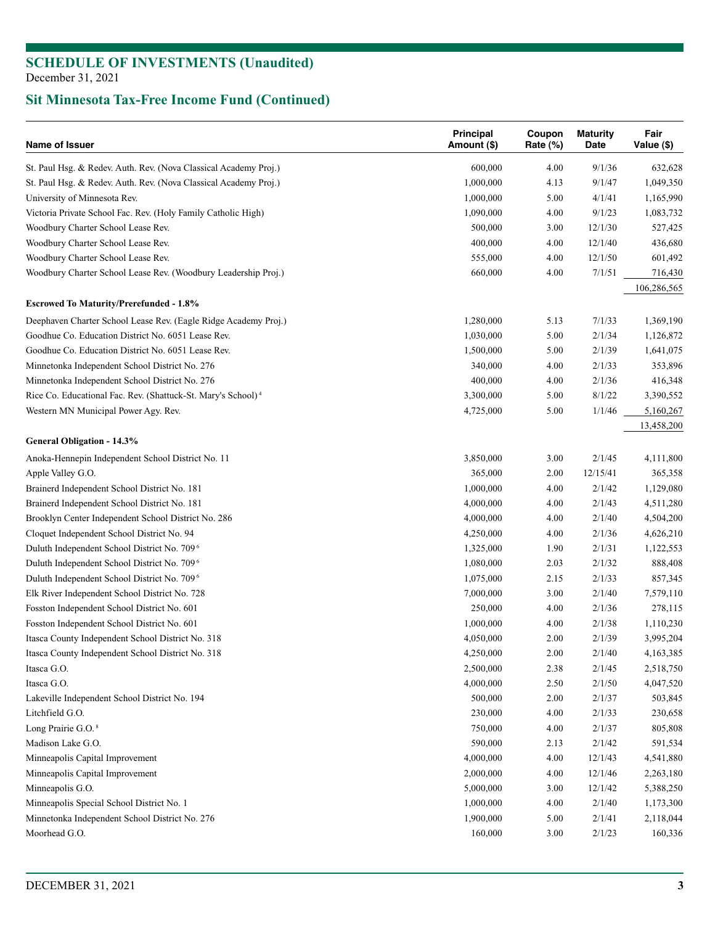| Name of Issuer                                                                             | Principal<br>Amount (\$) | Coupon<br>Rate (%) | <b>Maturity</b><br>Date | Fair<br>Value (\$)   |
|--------------------------------------------------------------------------------------------|--------------------------|--------------------|-------------------------|----------------------|
| St. Paul Hsg. & Redev. Auth. Rev. (Nova Classical Academy Proj.)                           | 600,000                  | 4.00               | 9/1/36                  | 632,628              |
| St. Paul Hsg. & Redev. Auth. Rev. (Nova Classical Academy Proj.)                           | 1,000,000                | 4.13               | 9/1/47                  | 1,049,350            |
| University of Minnesota Rev.                                                               | 1,000,000                | 5.00               | 4/1/41                  | 1,165,990            |
| Victoria Private School Fac. Rev. (Holy Family Catholic High)                              | 1,090,000                | 4.00               | 9/1/23                  | 1,083,732            |
| Woodbury Charter School Lease Rev.                                                         | 500,000                  | 3.00               | 12/1/30                 | 527,425              |
| Woodbury Charter School Lease Rev.                                                         | 400,000                  | 4.00               | 12/1/40                 | 436,680              |
| Woodbury Charter School Lease Rev.                                                         | 555,000                  | 4.00               | 12/1/50                 | 601,492              |
| Woodbury Charter School Lease Rev. (Woodbury Leadership Proj.)                             | 660,000                  | 4.00               | 7/1/51                  | 716,430              |
|                                                                                            |                          |                    |                         | 106,286,565          |
| <b>Escrowed To Maturity/Prerefunded - 1.8%</b>                                             |                          |                    |                         |                      |
| Deephaven Charter School Lease Rev. (Eagle Ridge Academy Proj.)                            | 1,280,000                | 5.13               | 7/1/33                  | 1,369,190            |
| Goodhue Co. Education District No. 6051 Lease Rev.                                         | 1,030,000                | 5.00               | 2/1/34                  | 1,126,872            |
| Goodhue Co. Education District No. 6051 Lease Rev.                                         | 1,500,000                | 5.00               | 2/1/39                  | 1,641,075            |
| Minnetonka Independent School District No. 276                                             | 340,000                  | 4.00               | 2/1/33                  | 353,896              |
| Minnetonka Independent School District No. 276                                             | 400,000                  | 4.00               | 2/1/36                  | 416,348              |
| Rice Co. Educational Fac. Rev. (Shattuck-St. Mary's School) <sup>4</sup>                   | 3,300,000                | 5.00               | 8/1/22                  | 3,390,552            |
| Western MN Municipal Power Agy. Rev.                                                       | 4,725,000                | 5.00               | 1/1/46                  | 5,160,267            |
| <b>General Obligation - 14.3%</b>                                                          |                          |                    |                         | 13,458,200           |
| Anoka-Hennepin Independent School District No. 11                                          | 3,850,000                | 3.00               | 2/1/45                  | 4,111,800            |
| Apple Valley G.O.                                                                          | 365,000                  | 2.00               | 12/15/41                | 365,358              |
| Brainerd Independent School District No. 181                                               | 1,000,000                | 4.00               | 2/1/42                  | 1,129,080            |
| Brainerd Independent School District No. 181                                               | 4,000,000                | 4.00               | 2/1/43                  | 4,511,280            |
| Brooklyn Center Independent School District No. 286                                        | 4,000,000                | 4.00               | 2/1/40                  | 4,504,200            |
| Cloquet Independent School District No. 94                                                 | 4,250,000                | 4.00               | 2/1/36                  | 4,626,210            |
| Duluth Independent School District No. 709 <sup>6</sup>                                    | 1,325,000                | 1.90               | 2/1/31                  | 1,122,553            |
| Duluth Independent School District No. 709 <sup>6</sup>                                    | 1,080,000                | 2.03               | 2/1/32                  | 888,408              |
| Duluth Independent School District No. 709 <sup>6</sup>                                    | 1,075,000                | 2.15               | 2/1/33                  |                      |
|                                                                                            | 7,000,000                | 3.00               | 2/1/40                  | 857,345<br>7,579,110 |
| Elk River Independent School District No. 728                                              |                          |                    |                         |                      |
| Fosston Independent School District No. 601<br>Fosston Independent School District No. 601 | 250,000                  | 4.00               | 2/1/36                  | 278,115              |
|                                                                                            | 1,000,000                | 4.00               | 2/1/38                  | 1,110,230            |
| Itasca County Independent School District No. 318                                          | 4,050,000                | 2.00               | 2/1/39                  | 3,995,204            |
| Itasca County Independent School District No. 318                                          | 4,250,000                | 2.00               | 2/1/40                  | 4,163,385            |
| Itasca G.O.                                                                                | 2,500,000                | 2.38               | 2/1/45                  | 2,518,750            |
| Itasca G.O.                                                                                | 4,000,000                | 2.50               | 2/1/50                  | 4,047,520            |
| Lakeville Independent School District No. 194                                              | 500,000                  | 2.00               | 2/1/37                  | 503,845              |
| Litchfield G.O.                                                                            | 230,000                  | 4.00               | 2/1/33                  | 230,658              |
| Long Prairie G.O. <sup>8</sup>                                                             | 750,000                  | 4.00               | 2/1/37                  | 805,808              |
| Madison Lake G.O.                                                                          | 590,000                  | 2.13               | 2/1/42                  | 591,534              |
| Minneapolis Capital Improvement                                                            | 4,000,000                | 4.00               | 12/1/43                 | 4,541,880            |
| Minneapolis Capital Improvement                                                            | 2,000,000                | 4.00               | 12/1/46                 | 2,263,180            |
| Minneapolis G.O.                                                                           | 5,000,000                | 3.00               | 12/1/42                 | 5,388,250            |
| Minneapolis Special School District No. 1                                                  | 1,000,000                | 4.00               | 2/1/40                  | 1,173,300            |
| Minnetonka Independent School District No. 276                                             | 1,900,000                | 5.00               | 2/1/41                  | 2,118,044            |
| Moorhead G.O.                                                                              | 160,000                  | 3.00               | 2/1/23                  | 160,336              |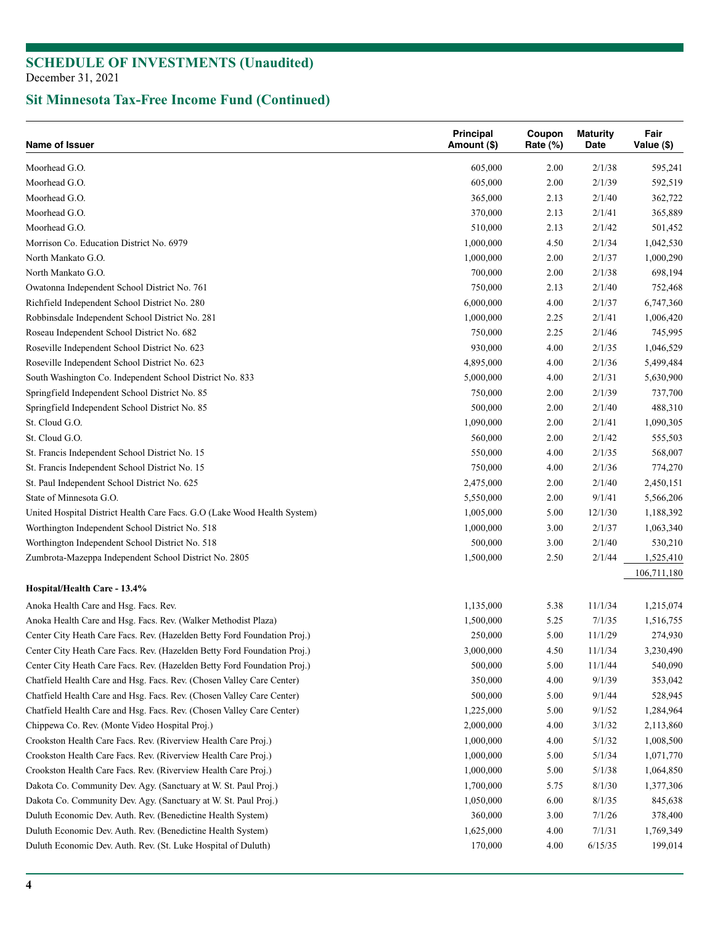| Name of Issuer                                                           | Principal<br>Amount (\$) | Coupon<br>Rate (%) | <b>Maturity</b><br>Date | Fair<br>Value (\$) |
|--------------------------------------------------------------------------|--------------------------|--------------------|-------------------------|--------------------|
| Moorhead G.O.                                                            | 605,000                  | 2.00               | 2/1/38                  | 595,241            |
| Moorhead G.O.                                                            | 605,000                  | 2.00               | 2/1/39                  | 592,519            |
| Moorhead G.O.                                                            | 365,000                  | 2.13               | 2/1/40                  | 362,722            |
| Moorhead G.O.                                                            | 370,000                  | 2.13               | 2/1/41                  | 365,889            |
| Moorhead G.O.                                                            | 510,000                  | 2.13               | 2/1/42                  | 501,452            |
| Morrison Co. Education District No. 6979                                 | 1,000,000                | 4.50               | 2/1/34                  | 1,042,530          |
| North Mankato G.O.                                                       | 1,000,000                | 2.00               | 2/1/37                  | 1,000,290          |
| North Mankato G.O.                                                       | 700,000                  | 2.00               | 2/1/38                  | 698,194            |
| Owatonna Independent School District No. 761                             | 750,000                  | 2.13               | 2/1/40                  | 752,468            |
| Richfield Independent School District No. 280                            | 6,000,000                | 4.00               | 2/1/37                  | 6,747,360          |
| Robbinsdale Independent School District No. 281                          | 1,000,000                | 2.25               | 2/1/41                  | 1,006,420          |
| Roseau Independent School District No. 682                               | 750,000                  | 2.25               | 2/1/46                  | 745,995            |
| Roseville Independent School District No. 623                            | 930,000                  | 4.00               | 2/1/35                  | 1,046,529          |
| Roseville Independent School District No. 623                            | 4,895,000                | 4.00               | 2/1/36                  | 5,499,484          |
| South Washington Co. Independent School District No. 833                 | 5,000,000                | 4.00               | 2/1/31                  | 5,630,900          |
| Springfield Independent School District No. 85                           | 750,000                  | 2.00               | 2/1/39                  | 737,700            |
| Springfield Independent School District No. 85                           | 500,000                  | 2.00               | 2/1/40                  | 488,310            |
| St. Cloud G.O.                                                           | 1,090,000                | 2.00               | 2/1/41                  | 1,090,305          |
| St. Cloud G.O.                                                           | 560,000                  | 2.00               | 2/1/42                  | 555,503            |
| St. Francis Independent School District No. 15                           | 550,000                  | 4.00               | 2/1/35                  | 568,007            |
| St. Francis Independent School District No. 15                           | 750,000                  | 4.00               | 2/1/36                  | 774,270            |
| St. Paul Independent School District No. 625                             | 2,475,000                | 2.00               | 2/1/40                  | 2,450,151          |
| State of Minnesota G.O.                                                  | 5,550,000                | 2.00               | 9/1/41                  | 5,566,206          |
| United Hospital District Health Care Facs. G.O (Lake Wood Health System) | 1,005,000                | 5.00               | 12/1/30                 | 1,188,392          |
| Worthington Independent School District No. 518                          | 1,000,000                | 3.00               | 2/1/37                  | 1,063,340          |
| Worthington Independent School District No. 518                          | 500,000                  | 3.00               | 2/1/40                  | 530,210            |
| Zumbrota-Mazeppa Independent School District No. 2805                    | 1,500,000                | 2.50               | 2/1/44                  | 1,525,410          |
| Hospital/Health Care - 13.4%                                             |                          |                    |                         | 106,711,180        |
| Anoka Health Care and Hsg. Facs. Rev.                                    | 1,135,000                | 5.38               | 11/1/34                 | 1,215,074          |
| Anoka Health Care and Hsg. Facs. Rev. (Walker Methodist Plaza)           | 1,500,000                | 5.25               | 7/1/35                  | 1,516,755          |
| Center City Heath Care Facs. Rev. (Hazelden Betty Ford Foundation Proj.) | 250,000                  | 5.00               | 11/1/29                 | 274,930            |
| Center City Heath Care Facs. Rev. (Hazelden Betty Ford Foundation Proj.) | 3,000,000                | 4.50               | 11/1/34                 | 3,230,490          |
| Center City Heath Care Facs. Rev. (Hazelden Betty Ford Foundation Proj.) | 500,000                  | 5.00               | 11/1/44                 | 540,090            |
| Chatfield Health Care and Hsg. Facs. Rev. (Chosen Valley Care Center)    | 350,000                  | 4.00               | 9/1/39                  | 353,042            |
| Chatfield Health Care and Hsg. Facs. Rev. (Chosen Valley Care Center)    | 500,000                  | 5.00               | 9/1/44                  | 528,945            |
| Chatfield Health Care and Hsg. Facs. Rev. (Chosen Valley Care Center)    | 1,225,000                | 5.00               | 9/1/52                  | 1,284,964          |
| Chippewa Co. Rev. (Monte Video Hospital Proj.)                           | 2,000,000                | 4.00               | 3/1/32                  | 2,113,860          |
| Crookston Health Care Facs. Rev. (Riverview Health Care Proj.)           | 1,000,000                | 4.00               | 5/1/32                  | 1,008,500          |
| Crookston Health Care Facs. Rev. (Riverview Health Care Proj.)           | 1,000,000                | 5.00               | 5/1/34                  | 1,071,770          |
| Crookston Health Care Facs. Rev. (Riverview Health Care Proj.)           | 1,000,000                | 5.00               | 5/1/38                  | 1,064,850          |
| Dakota Co. Community Dev. Agy. (Sanctuary at W. St. Paul Proj.)          | 1,700,000                | 5.75               | 8/1/30                  | 1,377,306          |
| Dakota Co. Community Dev. Agy. (Sanctuary at W. St. Paul Proj.)          | 1,050,000                | 6.00               | 8/1/35                  | 845,638            |
| Duluth Economic Dev. Auth. Rev. (Benedictine Health System)              | 360,000                  | 3.00               | 7/1/26                  | 378,400            |
| Duluth Economic Dev. Auth. Rev. (Benedictine Health System)              | 1,625,000                | 4.00               | 7/1/31                  | 1,769,349          |
| Duluth Economic Dev. Auth. Rev. (St. Luke Hospital of Duluth)            | 170,000                  | 4.00               | 6/15/35                 | 199,014            |
|                                                                          |                          |                    |                         |                    |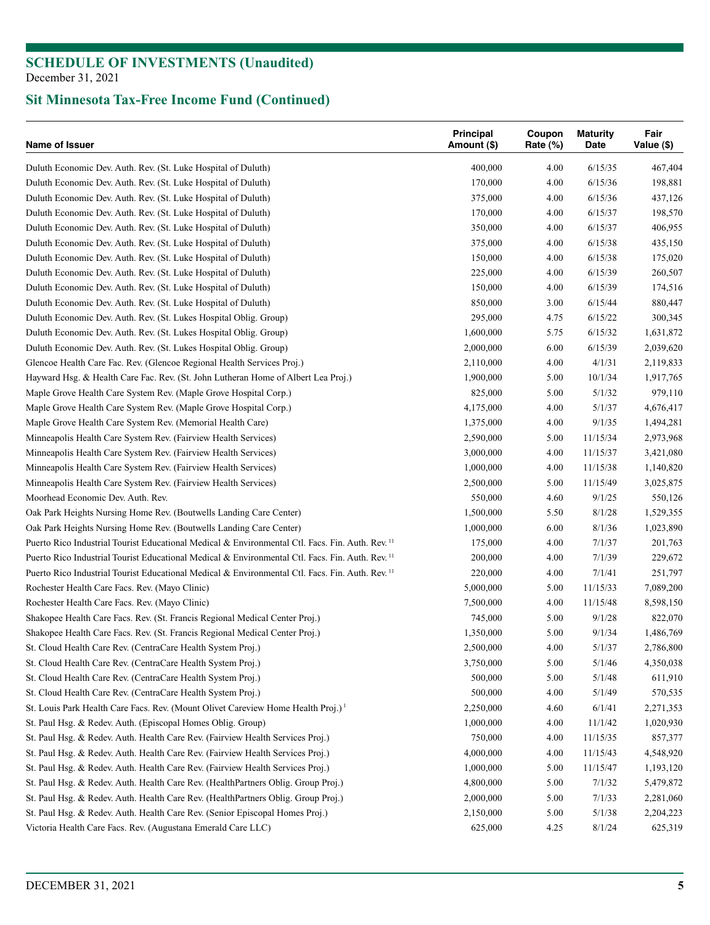| Name of Issuer                                                                                              | Principal<br>Amount (\$) | Coupon<br>Rate (%) | <b>Maturity</b><br>Date | Fair<br>Value (\$) |
|-------------------------------------------------------------------------------------------------------------|--------------------------|--------------------|-------------------------|--------------------|
| Duluth Economic Dev. Auth. Rev. (St. Luke Hospital of Duluth)                                               | 400,000                  | 4.00               | 6/15/35                 | 467,404            |
| Duluth Economic Dev. Auth. Rev. (St. Luke Hospital of Duluth)                                               | 170,000                  | 4.00               | 6/15/36                 | 198,881            |
| Duluth Economic Dev. Auth. Rev. (St. Luke Hospital of Duluth)                                               | 375,000                  | 4.00               | 6/15/36                 | 437,126            |
| Duluth Economic Dev. Auth. Rev. (St. Luke Hospital of Duluth)                                               | 170,000                  | 4.00               | 6/15/37                 | 198,570            |
| Duluth Economic Dev. Auth. Rev. (St. Luke Hospital of Duluth)                                               | 350,000                  | 4.00               | 6/15/37                 | 406,955            |
| Duluth Economic Dev. Auth. Rev. (St. Luke Hospital of Duluth)                                               | 375,000                  | 4.00               | 6/15/38                 | 435,150            |
| Duluth Economic Dev. Auth. Rev. (St. Luke Hospital of Duluth)                                               | 150,000                  | 4.00               | 6/15/38                 | 175,020            |
| Duluth Economic Dev. Auth. Rev. (St. Luke Hospital of Duluth)                                               | 225,000                  | 4.00               | 6/15/39                 | 260,507            |
| Duluth Economic Dev. Auth. Rev. (St. Luke Hospital of Duluth)                                               | 150,000                  | 4.00               | 6/15/39                 | 174,516            |
| Duluth Economic Dev. Auth. Rev. (St. Luke Hospital of Duluth)                                               | 850,000                  | 3.00               | 6/15/44                 | 880,447            |
| Duluth Economic Dev. Auth. Rev. (St. Lukes Hospital Oblig. Group)                                           | 295,000                  | 4.75               | 6/15/22                 | 300,345            |
| Duluth Economic Dev. Auth. Rev. (St. Lukes Hospital Oblig. Group)                                           | 1,600,000                | 5.75               | 6/15/32                 | 1,631,872          |
| Duluth Economic Dev. Auth. Rev. (St. Lukes Hospital Oblig. Group)                                           | 2,000,000                | 6.00               | 6/15/39                 | 2,039,620          |
| Glencoe Health Care Fac. Rev. (Glencoe Regional Health Services Proj.)                                      | 2,110,000                | 4.00               | 4/1/31                  | 2,119,833          |
| Hayward Hsg. & Health Care Fac. Rev. (St. John Lutheran Home of Albert Lea Proj.)                           | 1,900,000                | 5.00               | 10/1/34                 | 1,917,765          |
| Maple Grove Health Care System Rev. (Maple Grove Hospital Corp.)                                            | 825,000                  | 5.00               | 5/1/32                  | 979,110            |
| Maple Grove Health Care System Rev. (Maple Grove Hospital Corp.)                                            | 4,175,000                | 4.00               | 5/1/37                  | 4,676,417          |
| Maple Grove Health Care System Rev. (Memorial Health Care)                                                  | 1,375,000                | 4.00               | 9/1/35                  | 1,494,281          |
| Minneapolis Health Care System Rev. (Fairview Health Services)                                              | 2,590,000                | 5.00               | 11/15/34                | 2,973,968          |
| Minneapolis Health Care System Rev. (Fairview Health Services)                                              | 3,000,000                | 4.00               | 11/15/37                | 3,421,080          |
| Minneapolis Health Care System Rev. (Fairview Health Services)                                              | 1,000,000                | 4.00               | 11/15/38                | 1,140,820          |
| Minneapolis Health Care System Rev. (Fairview Health Services)                                              | 2,500,000                | 5.00               | 11/15/49                | 3,025,875          |
| Moorhead Economic Dev. Auth. Rev.                                                                           | 550,000                  | 4.60               | 9/1/25                  | 550,126            |
| Oak Park Heights Nursing Home Rev. (Boutwells Landing Care Center)                                          | 1,500,000                | 5.50               | 8/1/28                  | 1,529,355          |
| Oak Park Heights Nursing Home Rev. (Boutwells Landing Care Center)                                          | 1,000,000                | 6.00               | 8/1/36                  | 1,023,890          |
| Puerto Rico Industrial Tourist Educational Medical & Environmental Ctl. Facs. Fin. Auth. Rev. <sup>11</sup> | 175,000                  | 4.00               | 7/1/37                  | 201,763            |
| Puerto Rico Industrial Tourist Educational Medical & Environmental Ctl. Facs. Fin. Auth. Rev. 11            | 200,000                  | 4.00               | 7/1/39                  | 229,672            |
| Puerto Rico Industrial Tourist Educational Medical & Environmental Ctl. Facs. Fin. Auth. Rev. <sup>11</sup> | 220,000                  | 4.00               | 7/1/41                  | 251,797            |
| Rochester Health Care Facs. Rev. (Mayo Clinic)                                                              | 5,000,000                | 5.00               | 11/15/33                | 7,089,200          |
| Rochester Health Care Facs. Rev. (Mayo Clinic)                                                              | 7,500,000                | 4.00               | 11/15/48                | 8,598,150          |
| Shakopee Health Care Facs. Rev. (St. Francis Regional Medical Center Proj.)                                 | 745,000                  | 5.00               | 9/1/28                  | 822,070            |
| Shakopee Health Care Facs. Rev. (St. Francis Regional Medical Center Proj.)                                 | 1,350,000                | 5.00               | 9/1/34                  | 1,486,769          |
| St. Cloud Health Care Rev. (CentraCare Health System Proj.)                                                 | 2,500,000                | 4.00               | 5/1/37                  | 2,786,800          |
| St. Cloud Health Care Rev. (CentraCare Health System Proj.)                                                 | 3,750,000                | 5.00               | 5/1/46                  | 4,350,038          |
| St. Cloud Health Care Rev. (CentraCare Health System Proj.)                                                 | 500,000                  | 5.00               | 5/1/48                  | 611,910            |
| St. Cloud Health Care Rev. (CentraCare Health System Proj.)                                                 | 500,000                  | 4.00               | 5/1/49                  | 570,535            |
| St. Louis Park Health Care Facs. Rev. (Mount Olivet Careview Home Health Proj.) <sup>1</sup>                | 2,250,000                | 4.60               | 6/1/41                  | 2,271,353          |
| St. Paul Hsg. & Redev. Auth. (Episcopal Homes Oblig. Group)                                                 | 1,000,000                | 4.00               | 11/1/42                 | 1,020,930          |
| St. Paul Hsg. & Redev. Auth. Health Care Rev. (Fairview Health Services Proj.)                              | 750,000                  | 4.00               | 11/15/35                | 857,377            |
| St. Paul Hsg. & Redev. Auth. Health Care Rev. (Fairview Health Services Proj.)                              | 4,000,000                | 4.00               | 11/15/43                | 4,548,920          |
| St. Paul Hsg. & Redev. Auth. Health Care Rev. (Fairview Health Services Proj.)                              | 1,000,000                | 5.00               | 11/15/47                | 1,193,120          |
| St. Paul Hsg. & Redev. Auth. Health Care Rev. (HealthPartners Oblig. Group Proj.)                           | 4,800,000                | 5.00               | 7/1/32                  | 5,479,872          |
| St. Paul Hsg. & Redev. Auth. Health Care Rev. (HealthPartners Oblig. Group Proj.)                           | 2,000,000                | 5.00               | 7/1/33                  | 2,281,060          |
| St. Paul Hsg. & Redev. Auth. Health Care Rev. (Senior Episcopal Homes Proj.)                                | 2,150,000                | 5.00               | 5/1/38                  | 2,204,223          |
| Victoria Health Care Facs. Rev. (Augustana Emerald Care LLC)                                                | 625,000                  | 4.25               | 8/1/24                  | 625,319            |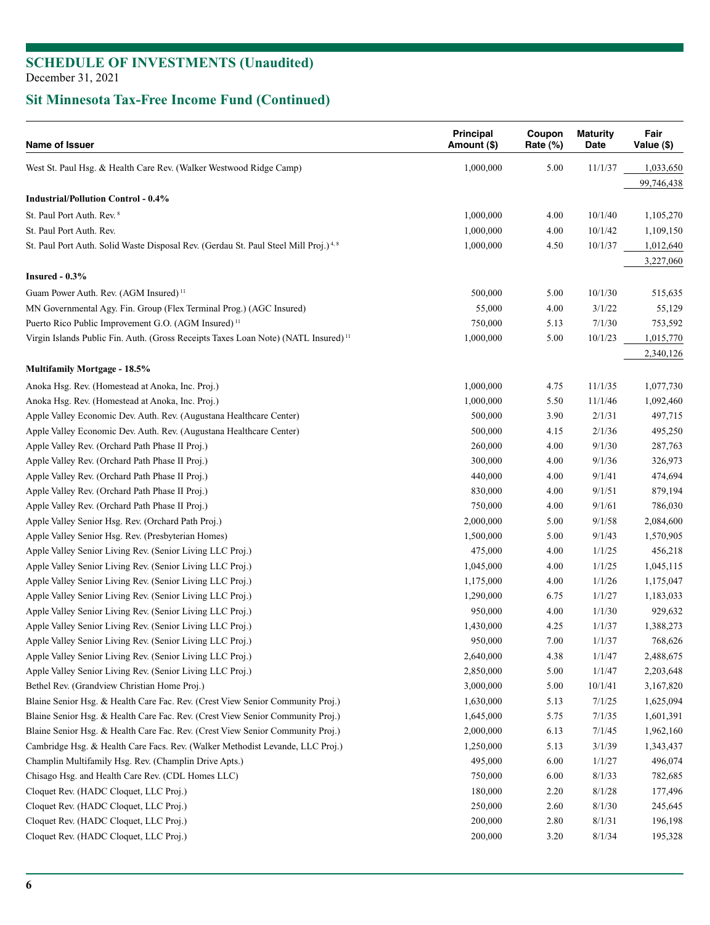| Name of Issuer                                                                                  | <b>Principal</b><br>Amount (\$) | Coupon<br>Rate $(\%)$ | <b>Maturity</b><br>Date | Fair<br>Value (\$) |
|-------------------------------------------------------------------------------------------------|---------------------------------|-----------------------|-------------------------|--------------------|
| West St. Paul Hsg. & Health Care Rev. (Walker Westwood Ridge Camp)                              | 1,000,000                       | 5.00                  | 11/1/37                 | 1,033,650          |
|                                                                                                 |                                 |                       |                         | 99,746,438         |
| <b>Industrial/Pollution Control - 0.4%</b>                                                      |                                 |                       |                         |                    |
| St. Paul Port Auth. Rev. 8                                                                      | 1,000,000                       | 4.00                  | 10/1/40                 | 1,105,270          |
| St. Paul Port Auth. Rev.                                                                        | 1,000,000                       | 4.00                  | 10/1/42                 | 1,109,150          |
| St. Paul Port Auth. Solid Waste Disposal Rev. (Gerdau St. Paul Steel Mill Proj.) <sup>4,8</sup> | 1,000,000                       | 4.50                  | 10/1/37                 | 1,012,640          |
|                                                                                                 |                                 |                       |                         | 3,227,060          |
| Insured $-0.3%$                                                                                 |                                 |                       |                         |                    |
| Guam Power Auth. Rev. (AGM Insured) <sup>11</sup>                                               | 500,000                         | 5.00                  | 10/1/30                 | 515,635            |
| MN Governmental Agy. Fin. Group (Flex Terminal Prog.) (AGC Insured)                             | 55,000                          | 4.00                  | 3/1/22                  | 55,129             |
| Puerto Rico Public Improvement G.O. (AGM Insured) <sup>11</sup>                                 | 750,000                         | 5.13                  | 7/1/30                  | 753,592            |
| Virgin Islands Public Fin. Auth. (Gross Receipts Taxes Loan Note) (NATL Insured) <sup>11</sup>  | 1,000,000                       | 5.00                  | 10/1/23                 | 1,015,770          |
|                                                                                                 |                                 |                       |                         | 2,340,126          |
| <b>Multifamily Mortgage - 18.5%</b>                                                             |                                 |                       |                         |                    |
| Anoka Hsg. Rev. (Homestead at Anoka, Inc. Proj.)                                                | 1,000,000                       | 4.75                  | 11/1/35                 | 1,077,730          |
| Anoka Hsg. Rev. (Homestead at Anoka, Inc. Proj.)                                                | 1,000,000                       | 5.50                  | 11/1/46                 | 1,092,460          |
| Apple Valley Economic Dev. Auth. Rev. (Augustana Healthcare Center)                             | 500,000                         | 3.90                  | 2/1/31                  | 497,715            |
| Apple Valley Economic Dev. Auth. Rev. (Augustana Healthcare Center)                             | 500,000                         | 4.15                  | 2/1/36                  | 495,250            |
| Apple Valley Rev. (Orchard Path Phase II Proj.)                                                 | 260,000                         | 4.00                  | 9/1/30                  | 287,763            |
| Apple Valley Rev. (Orchard Path Phase II Proj.)                                                 | 300,000                         | 4.00                  | 9/1/36                  | 326,973            |
| Apple Valley Rev. (Orchard Path Phase II Proj.)                                                 | 440,000                         | 4.00                  | 9/1/41                  | 474,694            |
| Apple Valley Rev. (Orchard Path Phase II Proj.)                                                 | 830,000                         | 4.00                  | 9/1/51                  | 879,194            |
| Apple Valley Rev. (Orchard Path Phase II Proj.)                                                 | 750,000                         | 4.00                  | 9/1/61                  | 786,030            |
| Apple Valley Senior Hsg. Rev. (Orchard Path Proj.)                                              | 2,000,000                       | 5.00                  | 9/1/58                  | 2,084,600          |
| Apple Valley Senior Hsg. Rev. (Presbyterian Homes)                                              | 1,500,000                       | 5.00                  | 9/1/43                  | 1,570,905          |
| Apple Valley Senior Living Rev. (Senior Living LLC Proj.)                                       | 475,000                         | 4.00                  | 1/1/25                  | 456,218            |
| Apple Valley Senior Living Rev. (Senior Living LLC Proj.)                                       | 1,045,000                       | 4.00                  | 1/1/25                  | 1,045,115          |
| Apple Valley Senior Living Rev. (Senior Living LLC Proj.)                                       | 1,175,000                       | 4.00                  | 1/1/26                  | 1,175,047          |
| Apple Valley Senior Living Rev. (Senior Living LLC Proj.)                                       | 1,290,000                       | 6.75                  | 1/1/27                  | 1,183,033          |
| Apple Valley Senior Living Rev. (Senior Living LLC Proj.)                                       | 950,000                         | 4.00                  | 1/1/30                  | 929,632            |
| Apple Valley Senior Living Rev. (Senior Living LLC Proj.)                                       | 1,430,000                       | 4.25                  | 1/1/37                  | 1,388,273          |
| Apple Valley Senior Living Rev. (Senior Living LLC Proj.)                                       | 950,000                         | 7.00                  | 1/1/37                  | 768,626            |
| Apple Valley Senior Living Rev. (Senior Living LLC Proj.)                                       | 2,640,000                       | 4.38                  | 1/1/47                  | 2,488,675          |
| Apple Valley Senior Living Rev. (Senior Living LLC Proj.)                                       | 2,850,000                       | 5.00                  | 1/1/47                  | 2,203,648          |
| Bethel Rev. (Grandview Christian Home Proj.)                                                    | 3,000,000                       | 5.00                  | 10/1/41                 | 3,167,820          |
| Blaine Senior Hsg. & Health Care Fac. Rev. (Crest View Senior Community Proj.)                  | 1,630,000                       | 5.13                  | 7/1/25                  | 1,625,094          |
| Blaine Senior Hsg. & Health Care Fac. Rev. (Crest View Senior Community Proj.)                  | 1,645,000                       | 5.75                  | 7/1/35                  | 1,601,391          |
| Blaine Senior Hsg. & Health Care Fac. Rev. (Crest View Senior Community Proj.)                  | 2,000,000                       | 6.13                  | 7/1/45                  | 1,962,160          |
| Cambridge Hsg. & Health Care Facs. Rev. (Walker Methodist Levande, LLC Proj.)                   | 1,250,000                       | 5.13                  | 3/1/39                  | 1,343,437          |
| Champlin Multifamily Hsg. Rev. (Champlin Drive Apts.)                                           | 495,000                         | 6.00                  | 1/1/27                  | 496,074            |
| Chisago Hsg. and Health Care Rev. (CDL Homes LLC)                                               | 750,000                         | 6.00                  | 8/1/33                  | 782,685            |
| Cloquet Rev. (HADC Cloquet, LLC Proj.)                                                          | 180,000                         | 2.20                  | 8/1/28                  | 177,496            |
| Cloquet Rev. (HADC Cloquet, LLC Proj.)                                                          | 250,000                         | 2.60                  | 8/1/30                  | 245,645            |
| Cloquet Rev. (HADC Cloquet, LLC Proj.)                                                          | 200,000                         | 2.80                  | 8/1/31                  | 196,198            |
| Cloquet Rev. (HADC Cloquet, LLC Proj.)                                                          | 200,000                         | 3.20                  | 8/1/34                  | 195,328            |
|                                                                                                 |                                 |                       |                         |                    |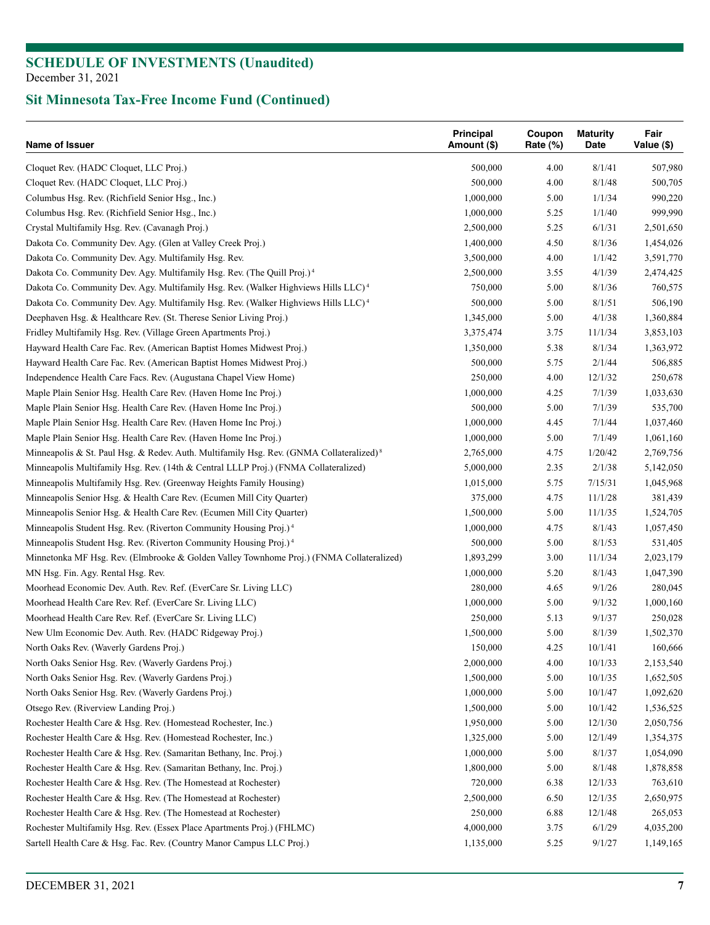| Name of Issuer                                                                                      | <b>Principal</b><br>Amount (\$) | Coupon<br>Rate (%) | <b>Maturity</b><br>Date | Fair<br>Value (\$) |
|-----------------------------------------------------------------------------------------------------|---------------------------------|--------------------|-------------------------|--------------------|
| Cloquet Rev. (HADC Cloquet, LLC Proj.)                                                              | 500,000                         | 4.00               | 8/1/41                  | 507,980            |
| Cloquet Rev. (HADC Cloquet, LLC Proj.)                                                              | 500,000                         | 4.00               | 8/1/48                  | 500,705            |
| Columbus Hsg. Rev. (Richfield Senior Hsg., Inc.)                                                    | 1,000,000                       | 5.00               | 1/1/34                  | 990,220            |
| Columbus Hsg. Rev. (Richfield Senior Hsg., Inc.)                                                    | 1,000,000                       | 5.25               | 1/1/40                  | 999,990            |
| Crystal Multifamily Hsg. Rev. (Cavanagh Proj.)                                                      | 2,500,000                       | 5.25               | 6/1/31                  | 2,501,650          |
| Dakota Co. Community Dev. Agy. (Glen at Valley Creek Proj.)                                         | 1,400,000                       | 4.50               | 8/1/36                  | 1,454,026          |
| Dakota Co. Community Dev. Agy. Multifamily Hsg. Rev.                                                | 3,500,000                       | 4.00               | 1/1/42                  | 3,591,770          |
| Dakota Co. Community Dev. Agy. Multifamily Hsg. Rev. (The Quill Proj.) <sup>4</sup>                 | 2,500,000                       | 3.55               | 4/1/39                  | 2,474,425          |
| Dakota Co. Community Dev. Agy. Multifamily Hsg. Rev. (Walker Highviews Hills LLC) <sup>4</sup>      | 750,000                         | 5.00               | 8/1/36                  | 760,575            |
| Dakota Co. Community Dev. Agy. Multifamily Hsg. Rev. (Walker Highviews Hills LLC) <sup>4</sup>      | 500,000                         | 5.00               | 8/1/51                  | 506,190            |
| Deephaven Hsg. & Healthcare Rev. (St. Therese Senior Living Proj.)                                  | 1,345,000                       | 5.00               | 4/1/38                  | 1,360,884          |
| Fridley Multifamily Hsg. Rev. (Village Green Apartments Proj.)                                      | 3,375,474                       | 3.75               | 11/1/34                 | 3,853,103          |
| Hayward Health Care Fac. Rev. (American Baptist Homes Midwest Proj.)                                | 1,350,000                       | 5.38               | 8/1/34                  | 1,363,972          |
| Hayward Health Care Fac. Rev. (American Baptist Homes Midwest Proj.)                                | 500,000                         | 5.75               | 2/1/44                  | 506,885            |
| Independence Health Care Facs. Rev. (Augustana Chapel View Home)                                    | 250,000                         | 4.00               | 12/1/32                 | 250,678            |
| Maple Plain Senior Hsg. Health Care Rev. (Haven Home Inc Proj.)                                     | 1,000,000                       | 4.25               | 7/1/39                  | 1,033,630          |
| Maple Plain Senior Hsg. Health Care Rev. (Haven Home Inc Proj.)                                     | 500,000                         | 5.00               | 7/1/39                  | 535,700            |
| Maple Plain Senior Hsg. Health Care Rev. (Haven Home Inc Proj.)                                     | 1,000,000                       | 4.45               | 7/1/44                  | 1,037,460          |
| Maple Plain Senior Hsg. Health Care Rev. (Haven Home Inc Proj.)                                     | 1,000,000                       | 5.00               | 7/1/49                  | 1,061,160          |
| Minneapolis & St. Paul Hsg. & Redev. Auth. Multifamily Hsg. Rev. (GNMA Collateralized) <sup>8</sup> | 2,765,000                       | 4.75               | 1/20/42                 | 2,769,756          |
| Minneapolis Multifamily Hsg. Rev. (14th & Central LLLP Proj.) (FNMA Collateralized)                 | 5,000,000                       | 2.35               | 2/1/38                  | 5,142,050          |
| Minneapolis Multifamily Hsg. Rev. (Greenway Heights Family Housing)                                 | 1,015,000                       | 5.75               | 7/15/31                 | 1,045,968          |
| Minneapolis Senior Hsg. & Health Care Rev. (Ecumen Mill City Quarter)                               | 375,000                         | 4.75               | 11/1/28                 | 381,439            |
| Minneapolis Senior Hsg. & Health Care Rev. (Ecumen Mill City Quarter)                               | 1,500,000                       | 5.00               | 11/1/35                 | 1,524,705          |
| Minneapolis Student Hsg. Rev. (Riverton Community Housing Proj.) <sup>4</sup>                       | 1,000,000                       | 4.75               | 8/1/43                  | 1,057,450          |
| Minneapolis Student Hsg. Rev. (Riverton Community Housing Proj.) <sup>4</sup>                       | 500,000                         | 5.00               | 8/1/53                  | 531,405            |
|                                                                                                     |                                 |                    |                         |                    |
| Minnetonka MF Hsg. Rev. (Elmbrooke & Golden Valley Townhome Proj.) (FNMA Collateralized)            | 1,893,299                       | 3.00               | 11/1/34                 | 2,023,179          |
| MN Hsg. Fin. Agy. Rental Hsg. Rev.                                                                  | 1,000,000                       | 5.20               | 8/1/43                  | 1,047,390          |
| Moorhead Economic Dev. Auth. Rev. Ref. (EverCare Sr. Living LLC)                                    | 280,000                         | 4.65               | 9/1/26                  | 280,045            |
| Moorhead Health Care Rev. Ref. (EverCare Sr. Living LLC)                                            | 1,000,000                       | 5.00               | 9/1/32                  | 1,000,160          |
| Moorhead Health Care Rev. Ref. (EverCare Sr. Living LLC)                                            | 250,000                         | 5.13               | 9/1/37                  | 250,028            |
| New Ulm Economic Dev. Auth. Rev. (HADC Ridgeway Proj.)                                              | 1,500,000                       | 5.00               | 8/1/39                  | 1,502,370          |
| North Oaks Rev. (Waverly Gardens Proj.)                                                             | 150,000                         | 4.25               | 10/1/41                 | 160,666            |
| North Oaks Senior Hsg. Rev. (Waverly Gardens Proj.)                                                 | 2,000,000                       | 4.00               | 10/1/33                 | 2,153,540          |
| North Oaks Senior Hsg. Rev. (Waverly Gardens Proj.)                                                 | 1,500,000                       | 5.00               | 10/1/35                 | 1,652,505          |
| North Oaks Senior Hsg. Rev. (Waverly Gardens Proj.)                                                 | 1,000,000                       | 5.00               | 10/1/47                 | 1,092,620          |
| Otsego Rev. (Riverview Landing Proj.)                                                               | 1,500,000                       | 5.00               | 10/1/42                 | 1,536,525          |
| Rochester Health Care & Hsg. Rev. (Homestead Rochester, Inc.)                                       | 1,950,000                       | 5.00               | 12/1/30                 | 2,050,756          |
| Rochester Health Care & Hsg. Rev. (Homestead Rochester, Inc.)                                       | 1,325,000                       | 5.00               | 12/1/49                 | 1,354,375          |
| Rochester Health Care & Hsg. Rev. (Samaritan Bethany, Inc. Proj.)                                   | 1,000,000                       | 5.00               | 8/1/37                  | 1,054,090          |
| Rochester Health Care & Hsg. Rev. (Samaritan Bethany, Inc. Proj.)                                   | 1,800,000                       | 5.00               | 8/1/48                  | 1,878,858          |
| Rochester Health Care & Hsg. Rev. (The Homestead at Rochester)                                      | 720,000                         | 6.38               | 12/1/33                 | 763,610            |
| Rochester Health Care & Hsg. Rev. (The Homestead at Rochester)                                      | 2,500,000                       | 6.50               | 12/1/35                 | 2,650,975          |
| Rochester Health Care & Hsg. Rev. (The Homestead at Rochester)                                      | 250,000                         | 6.88               | 12/1/48                 | 265,053            |
| Rochester Multifamily Hsg. Rev. (Essex Place Apartments Proj.) (FHLMC)                              | 4,000,000                       | 3.75               | 6/1/29                  | 4,035,200          |
| Sartell Health Care & Hsg. Fac. Rev. (Country Manor Campus LLC Proj.)                               | 1,135,000                       | 5.25               | 9/1/27                  | 1,149,165          |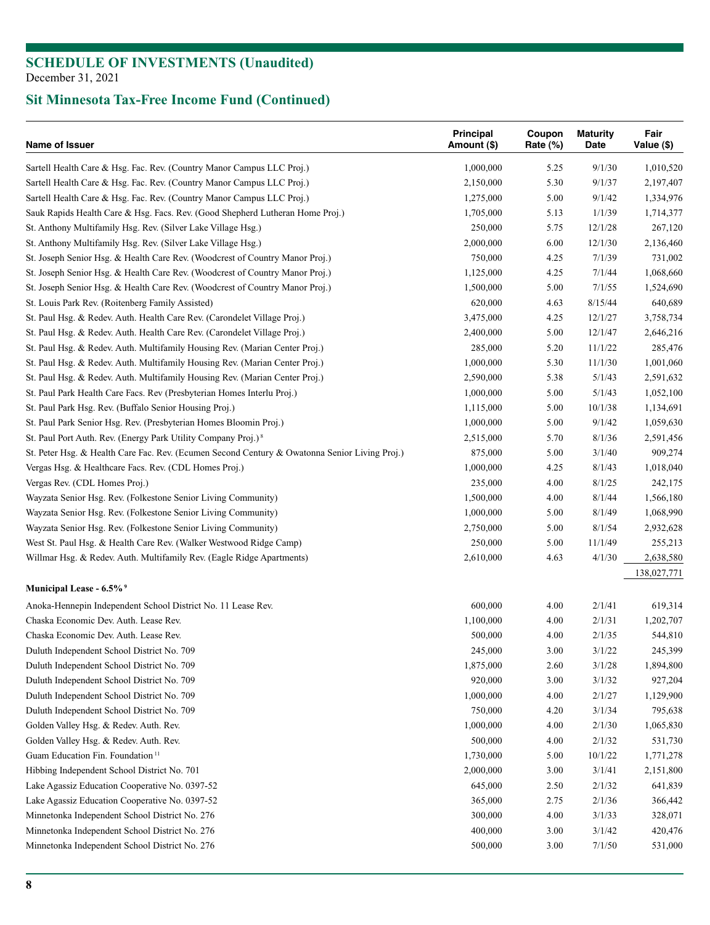| Name of Issuer                                                                                | Principal<br>Amount (\$) | Coupon<br>Rate $(\%)$ | <b>Maturity</b><br>Date | Fair<br>Value (\$) |
|-----------------------------------------------------------------------------------------------|--------------------------|-----------------------|-------------------------|--------------------|
| Sartell Health Care & Hsg. Fac. Rev. (Country Manor Campus LLC Proj.)                         | 1,000,000                | 5.25                  | 9/1/30                  | 1,010,520          |
| Sartell Health Care & Hsg. Fac. Rev. (Country Manor Campus LLC Proj.)                         | 2,150,000                | 5.30                  | 9/1/37                  | 2,197,407          |
| Sartell Health Care & Hsg. Fac. Rev. (Country Manor Campus LLC Proj.)                         | 1,275,000                | 5.00                  | 9/1/42                  | 1,334,976          |
| Sauk Rapids Health Care & Hsg. Facs. Rev. (Good Shepherd Lutheran Home Proj.)                 | 1,705,000                | 5.13                  | 1/1/39                  | 1,714,377          |
| St. Anthony Multifamily Hsg. Rev. (Silver Lake Village Hsg.)                                  | 250,000                  | 5.75                  | 12/1/28                 | 267,120            |
| St. Anthony Multifamily Hsg. Rev. (Silver Lake Village Hsg.)                                  | 2,000,000                | 6.00                  | 12/1/30                 | 2,136,460          |
| St. Joseph Senior Hsg. & Health Care Rev. (Woodcrest of Country Manor Proj.)                  | 750,000                  | 4.25                  | 7/1/39                  | 731,002            |
| St. Joseph Senior Hsg. & Health Care Rev. (Woodcrest of Country Manor Proj.)                  | 1,125,000                | 4.25                  | 7/1/44                  | 1,068,660          |
| St. Joseph Senior Hsg. & Health Care Rev. (Woodcrest of Country Manor Proj.)                  | 1,500,000                | 5.00                  | 7/1/55                  | 1,524,690          |
| St. Louis Park Rev. (Roitenberg Family Assisted)                                              | 620,000                  | 4.63                  | 8/15/44                 | 640,689            |
| St. Paul Hsg. & Redev. Auth. Health Care Rev. (Carondelet Village Proj.)                      | 3,475,000                | 4.25                  | 12/1/27                 | 3,758,734          |
| St. Paul Hsg. & Redev. Auth. Health Care Rev. (Carondelet Village Proj.)                      | 2,400,000                | 5.00                  | 12/1/47                 | 2,646,216          |
| St. Paul Hsg. & Redev. Auth. Multifamily Housing Rev. (Marian Center Proj.)                   | 285,000                  | 5.20                  | 11/1/22                 | 285,476            |
| St. Paul Hsg. & Redev. Auth. Multifamily Housing Rev. (Marian Center Proj.)                   | 1,000,000                | 5.30                  | 11/1/30                 | 1,001,060          |
| St. Paul Hsg. & Redev. Auth. Multifamily Housing Rev. (Marian Center Proj.)                   | 2,590,000                | 5.38                  | 5/1/43                  | 2,591,632          |
| St. Paul Park Health Care Facs. Rev (Presbyterian Homes Interlu Proj.)                        | 1,000,000                | 5.00                  | 5/1/43                  | 1,052,100          |
| St. Paul Park Hsg. Rev. (Buffalo Senior Housing Proj.)                                        | 1,115,000                | 5.00                  | 10/1/38                 | 1,134,691          |
| St. Paul Park Senior Hsg. Rev. (Presbyterian Homes Bloomin Proj.)                             | 1,000,000                | 5.00                  | 9/1/42                  | 1,059,630          |
| St. Paul Port Auth. Rev. (Energy Park Utility Company Proj.) <sup>8</sup>                     | 2,515,000                | 5.70                  | 8/1/36                  | 2,591,456          |
| St. Peter Hsg. & Health Care Fac. Rev. (Ecumen Second Century & Owatonna Senior Living Proj.) | 875,000                  | 5.00                  | 3/1/40                  | 909,274            |
| Vergas Hsg. & Healthcare Facs. Rev. (CDL Homes Proj.)                                         | 1,000,000                | 4.25                  | 8/1/43                  | 1,018,040          |
| Vergas Rev. (CDL Homes Proj.)                                                                 | 235,000                  | 4.00                  | 8/1/25                  | 242,175            |
| Wayzata Senior Hsg. Rev. (Folkestone Senior Living Community)                                 | 1,500,000                | 4.00                  | 8/1/44                  | 1,566,180          |
| Wayzata Senior Hsg. Rev. (Folkestone Senior Living Community)                                 | 1,000,000                | 5.00                  | 8/1/49                  | 1,068,990          |
| Wayzata Senior Hsg. Rev. (Folkestone Senior Living Community)                                 | 2,750,000                | 5.00                  | 8/1/54                  | 2,932,628          |
| West St. Paul Hsg. & Health Care Rev. (Walker Westwood Ridge Camp)                            | 250,000                  | 5.00                  | 11/1/49                 | 255,213            |
| Willmar Hsg. & Redev. Auth. Multifamily Rev. (Eagle Ridge Apartments)                         | 2,610,000                | 4.63                  | 4/1/30                  | 2,638,580          |
|                                                                                               |                          |                       |                         | 138,027,771        |
| Municipal Lease - 6.5% <sup>9</sup>                                                           |                          |                       |                         |                    |
| Anoka-Hennepin Independent School District No. 11 Lease Rev.                                  | 600,000                  | 4.00                  | 2/1/41                  | 619,314            |
| Chaska Economic Dev. Auth. Lease Rev.                                                         | 1,100,000                | 4.00                  | 2/1/31                  | 1,202,707          |
| Chaska Economic Dev. Auth. Lease Rev.                                                         | 500,000                  | 4.00                  | 2/1/35                  | 544,810            |
| Duluth Independent School District No. 709                                                    | 245,000                  | 3.00                  | 3/1/22                  | 245,399            |
| Duluth Independent School District No. 709                                                    | 1,875,000                | 2.60                  | 3/1/28                  | 1,894,800          |
| Duluth Independent School District No. 709                                                    | 920,000                  | 3.00                  | 3/1/32                  | 927,204            |
| Duluth Independent School District No. 709                                                    | 1,000,000                | 4.00                  | 2/1/27                  | 1,129,900          |
| Duluth Independent School District No. 709                                                    | 750,000                  | 4.20                  | 3/1/34                  | 795,638            |
| Golden Valley Hsg. & Redev. Auth. Rev.                                                        | 1,000,000                | 4.00                  | 2/1/30                  | 1,065,830          |
| Golden Valley Hsg. & Redev. Auth. Rev.                                                        | 500,000                  | 4.00                  | 2/1/32                  | 531,730            |
| Guam Education Fin. Foundation <sup>11</sup>                                                  | 1,730,000                | 5.00                  | 10/1/22                 | 1,771,278          |
| Hibbing Independent School District No. 701                                                   | 2,000,000                | 3.00                  | 3/1/41                  | 2,151,800          |
| Lake Agassiz Education Cooperative No. 0397-52                                                | 645,000                  | 2.50                  | 2/1/32                  | 641,839            |
| Lake Agassiz Education Cooperative No. 0397-52                                                | 365,000                  | 2.75                  | 2/1/36                  | 366,442            |
| Minnetonka Independent School District No. 276                                                | 300,000                  | 4.00                  | 3/1/33                  | 328,071            |
| Minnetonka Independent School District No. 276                                                | 400,000                  | 3.00                  | 3/1/42                  | 420,476            |
| Minnetonka Independent School District No. 276                                                | 500,000                  | 3.00                  | 7/1/50                  | 531,000            |
|                                                                                               |                          |                       |                         |                    |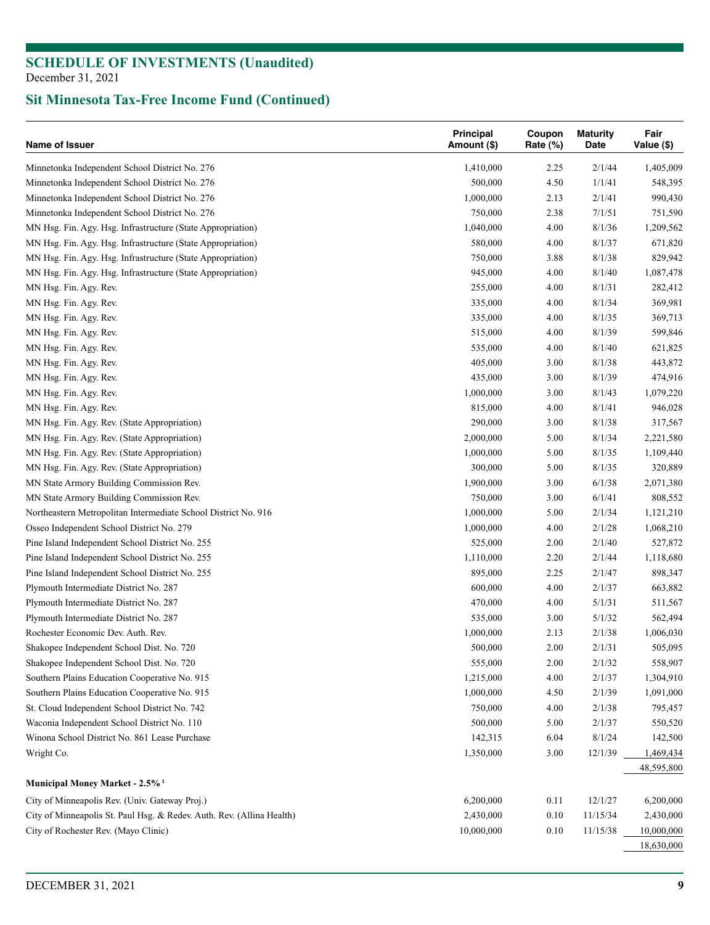| Name of Issuer                                                        | Principal<br>Amount (\$) | Coupon<br>Rate (%) | <b>Maturity</b><br>Date | Fair<br>Value (\$)      |
|-----------------------------------------------------------------------|--------------------------|--------------------|-------------------------|-------------------------|
| Minnetonka Independent School District No. 276                        | 1,410,000                | 2.25               | 2/1/44                  | 1,405,009               |
| Minnetonka Independent School District No. 276                        | 500,000                  | 4.50               | 1/1/41                  | 548,395                 |
| Minnetonka Independent School District No. 276                        | 1,000,000                | 2.13               | 2/1/41                  | 990,430                 |
| Minnetonka Independent School District No. 276                        | 750,000                  | 2.38               | 7/1/51                  | 751,590                 |
| MN Hsg. Fin. Agy. Hsg. Infrastructure (State Appropriation)           | 1,040,000                | 4.00               | 8/1/36                  | 1,209,562               |
| MN Hsg. Fin. Agy. Hsg. Infrastructure (State Appropriation)           | 580,000                  | 4.00               | 8/1/37                  | 671,820                 |
| MN Hsg. Fin. Agy. Hsg. Infrastructure (State Appropriation)           | 750,000                  | 3.88               | 8/1/38                  | 829,942                 |
| MN Hsg. Fin. Agy. Hsg. Infrastructure (State Appropriation)           | 945,000                  | 4.00               | 8/1/40                  | 1,087,478               |
| MN Hsg. Fin. Agy. Rev.                                                | 255,000                  | 4.00               | 8/1/31                  | 282,412                 |
| MN Hsg. Fin. Agy. Rev.                                                | 335,000                  | 4.00               | 8/1/34                  | 369,981                 |
| MN Hsg. Fin. Agy. Rev.                                                | 335,000                  | 4.00               | 8/1/35                  | 369,713                 |
| MN Hsg. Fin. Agy. Rev.                                                | 515,000                  | 4.00               | 8/1/39                  | 599,846                 |
| MN Hsg. Fin. Agy. Rev.                                                | 535,000                  | 4.00               | 8/1/40                  | 621,825                 |
| MN Hsg. Fin. Agy. Rev.                                                | 405,000                  | 3.00               | 8/1/38                  | 443,872                 |
| MN Hsg. Fin. Agy. Rev.                                                | 435,000                  | 3.00               | 8/1/39                  | 474,916                 |
| MN Hsg. Fin. Agy. Rev.                                                | 1,000,000                | 3.00               | 8/1/43                  | 1,079,220               |
| MN Hsg. Fin. Agy. Rev.                                                | 815,000                  | 4.00               | 8/1/41                  | 946,028                 |
| MN Hsg. Fin. Agy. Rev. (State Appropriation)                          | 290,000                  | 3.00               | 8/1/38                  | 317,567                 |
| MN Hsg. Fin. Agy. Rev. (State Appropriation)                          | 2,000,000                | 5.00               | 8/1/34                  | 2,221,580               |
| MN Hsg. Fin. Agy. Rev. (State Appropriation)                          | 1,000,000                | 5.00               | 8/1/35                  | 1,109,440               |
| MN Hsg. Fin. Agy. Rev. (State Appropriation)                          | 300,000                  | 5.00               | 8/1/35                  | 320,889                 |
| MN State Armory Building Commission Rev.                              | 1,900,000                | 3.00               | 6/1/38                  | 2,071,380               |
| MN State Armory Building Commission Rev.                              | 750,000                  | 3.00               | 6/1/41                  | 808,552                 |
| Northeastern Metropolitan Intermediate School District No. 916        | 1,000,000                | 5.00               | 2/1/34                  | 1,121,210               |
| Osseo Independent School District No. 279                             | 1,000,000                | 4.00               | 2/1/28                  | 1,068,210               |
| Pine Island Independent School District No. 255                       | 525,000                  | 2.00               | 2/1/40                  | 527,872                 |
|                                                                       |                          |                    |                         |                         |
| Pine Island Independent School District No. 255                       | 1,110,000                | 2.20               | 2/1/44                  | 1,118,680               |
| Pine Island Independent School District No. 255                       | 895,000                  | 2.25               | 2/1/47                  | 898,347                 |
| Plymouth Intermediate District No. 287                                | 600,000                  | 4.00               | 2/1/37                  | 663,882                 |
| Plymouth Intermediate District No. 287                                | 470,000                  | 4.00               | 5/1/31                  | 511,567                 |
| Plymouth Intermediate District No. 287                                | 535,000                  | 3.00               | 5/1/32                  | 562,494                 |
| Rochester Economic Dev. Auth. Rev.                                    | 1,000,000                | 2.13               | 2/1/38                  | 1,006,030               |
| Shakopee Independent School Dist. No. 720                             | 500,000                  | 2.00               | 2/1/31                  | 505,095                 |
| Shakopee Independent School Dist. No. 720                             | 555,000                  | 2.00               | 2/1/32                  | 558,907                 |
| Southern Plains Education Cooperative No. 915                         | 1,215,000                | 4.00               | 2/1/37                  | 1,304,910               |
| Southern Plains Education Cooperative No. 915                         | 1,000,000                | 4.50               | 2/1/39                  | 1,091,000               |
| St. Cloud Independent School District No. 742                         | 750,000                  | 4.00               | 2/1/38                  | 795,457                 |
| Waconia Independent School District No. 110                           | 500,000                  | 5.00               | 2/1/37                  | 550,520                 |
| Winona School District No. 861 Lease Purchase                         | 142,315                  | 6.04               | 8/1/24                  | 142,500                 |
| Wright Co.                                                            | 1,350,000                | 3.00               | 12/1/39                 | 1,469,434<br>48,595,800 |
| Municipal Money Market - 2.5% <sup>1</sup>                            |                          |                    |                         |                         |
| City of Minneapolis Rev. (Univ. Gateway Proj.)                        | 6,200,000                | 0.11               | 12/1/27                 | 6,200,000               |
| City of Minneapolis St. Paul Hsg. & Redev. Auth. Rev. (Allina Health) | 2,430,000                | 0.10               | 11/15/34                | 2,430,000               |
| City of Rochester Rev. (Mayo Clinic)                                  | 10,000,000               | 0.10               | 11/15/38                | 10,000,000              |
|                                                                       |                          |                    |                         | 18,630,000              |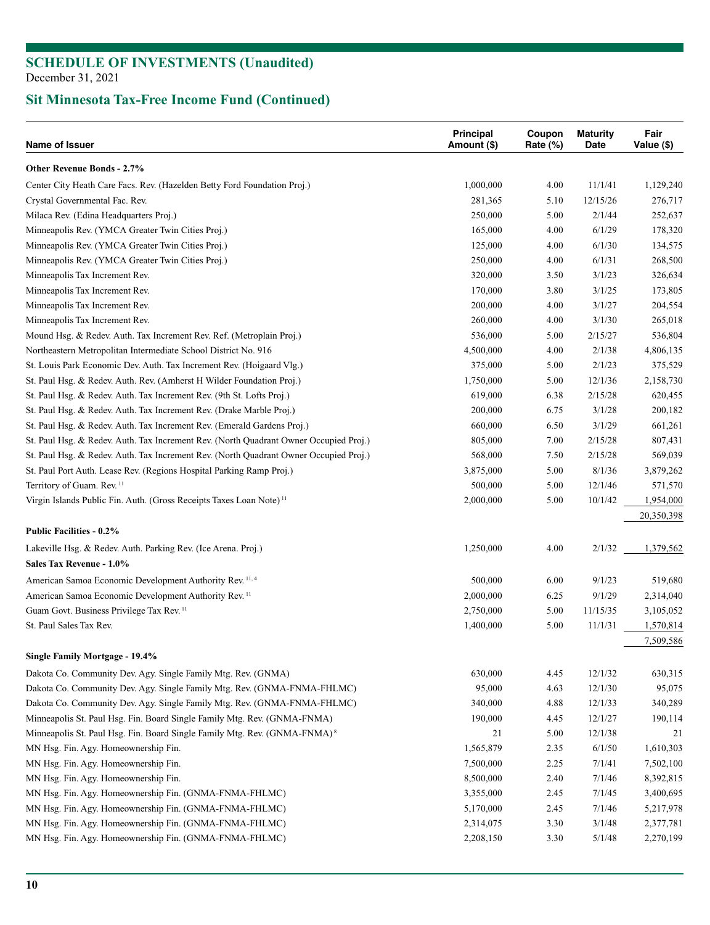| Name of Issuer                                                                        | Principal<br>Amount (\$) | Coupon<br>Rate (%) | <b>Maturity</b><br>Date | Fair<br>Value (\$) |
|---------------------------------------------------------------------------------------|--------------------------|--------------------|-------------------------|--------------------|
| <b>Other Revenue Bonds - 2.7%</b>                                                     |                          |                    |                         |                    |
| Center City Heath Care Facs. Rev. (Hazelden Betty Ford Foundation Proj.)              | 1,000,000                | 4.00               | 11/1/41                 | 1,129,240          |
| Crystal Governmental Fac. Rev.                                                        | 281,365                  | 5.10               | 12/15/26                | 276,717            |
| Milaca Rev. (Edina Headquarters Proj.)                                                | 250,000                  | 5.00               | 2/1/44                  | 252,637            |
| Minneapolis Rev. (YMCA Greater Twin Cities Proj.)                                     | 165,000                  | 4.00               | 6/1/29                  | 178,320            |
| Minneapolis Rev. (YMCA Greater Twin Cities Proj.)                                     | 125,000                  | 4.00               | 6/1/30                  | 134,575            |
| Minneapolis Rev. (YMCA Greater Twin Cities Proj.)                                     | 250,000                  | 4.00               | 6/1/31                  | 268,500            |
| Minneapolis Tax Increment Rev.                                                        | 320,000                  | 3.50               | 3/1/23                  | 326,634            |
| Minneapolis Tax Increment Rev.                                                        | 170,000                  | 3.80               | 3/1/25                  | 173,805            |
| Minneapolis Tax Increment Rev.                                                        | 200,000                  | 4.00               | 3/1/27                  | 204,554            |
| Minneapolis Tax Increment Rev.                                                        | 260,000                  | 4.00               | 3/1/30                  | 265,018            |
| Mound Hsg. & Redev. Auth. Tax Increment Rev. Ref. (Metroplain Proj.)                  | 536,000                  | 5.00               | 2/15/27                 | 536,804            |
| Northeastern Metropolitan Intermediate School District No. 916                        | 4,500,000                | 4.00               | 2/1/38                  | 4,806,135          |
| St. Louis Park Economic Dev. Auth. Tax Increment Rev. (Hoigaard Vlg.)                 | 375,000                  | 5.00               | 2/1/23                  | 375,529            |
| St. Paul Hsg. & Redev. Auth. Rev. (Amherst H Wilder Foundation Proj.)                 | 1,750,000                | 5.00               | 12/1/36                 | 2,158,730          |
| St. Paul Hsg. & Redev. Auth. Tax Increment Rev. (9th St. Lofts Proj.)                 | 619,000                  | 6.38               | 2/15/28                 | 620,455            |
| St. Paul Hsg. & Redev. Auth. Tax Increment Rev. (Drake Marble Proj.)                  | 200,000                  | 6.75               | 3/1/28                  | 200,182            |
| St. Paul Hsg. & Redev. Auth. Tax Increment Rev. (Emerald Gardens Proj.)               | 660,000                  | 6.50               | 3/1/29                  | 661,261            |
| St. Paul Hsg. & Redev. Auth. Tax Increment Rev. (North Quadrant Owner Occupied Proj.) | 805,000                  | 7.00               | 2/15/28                 | 807,431            |
| St. Paul Hsg. & Redev. Auth. Tax Increment Rev. (North Quadrant Owner Occupied Proj.) | 568,000                  | 7.50               | 2/15/28                 | 569,039            |
| St. Paul Port Auth. Lease Rev. (Regions Hospital Parking Ramp Proj.)                  | 3,875,000                | 5.00               | 8/1/36                  | 3,879,262          |
| Territory of Guam. Rev. <sup>11</sup>                                                 | 500,000                  | 5.00               | 12/1/46                 | 571,570            |
| Virgin Islands Public Fin. Auth. (Gross Receipts Taxes Loan Note) <sup>11</sup>       | 2,000,000                | 5.00               | 10/1/42                 | 1,954,000          |
|                                                                                       |                          |                    |                         | 20,350,398         |
| <b>Public Facilities - 0.2%</b>                                                       |                          |                    |                         |                    |
| Lakeville Hsg. & Redev. Auth. Parking Rev. (Ice Arena. Proj.)                         | 1,250,000                | 4.00               | 2/1/32                  | 1,379,562          |
| Sales Tax Revenue - 1.0%                                                              |                          |                    |                         |                    |
| American Samoa Economic Development Authority Rev. <sup>11,4</sup>                    | 500,000                  | 6.00               | 9/1/23                  | 519,680            |
| American Samoa Economic Development Authority Rev. <sup>11</sup>                      | 2,000,000                | 6.25               | 9/1/29                  | 2,314,040          |
| Guam Govt. Business Privilege Tax Rev. <sup>11</sup>                                  | 2,750,000                | 5.00               | 11/15/35                | 3,105,052          |
| St. Paul Sales Tax Rev.                                                               | 1,400,000                | 5.00               | 11/1/31                 | 1,570,814          |
| Single Family Mortgage - 19.4%                                                        |                          |                    |                         | 7,509,586          |
|                                                                                       |                          |                    |                         |                    |
| Dakota Co. Community Dev. Agy. Single Family Mtg. Rev. (GNMA)                         | 630,000                  | 4.45               | 12/1/32                 | 630,315            |
| Dakota Co. Community Dev. Agy. Single Family Mtg. Rev. (GNMA-FNMA-FHLMC)              | 95,000                   | 4.63               | 12/1/30                 | 95,075             |
| Dakota Co. Community Dev. Agy. Single Family Mtg. Rev. (GNMA-FNMA-FHLMC)              | 340,000                  | 4.88               | 12/1/33                 | 340,289            |
| Minneapolis St. Paul Hsg. Fin. Board Single Family Mtg. Rev. (GNMA-FNMA)              | 190,000                  | 4.45               | 12/1/27                 | 190,114            |
| Minneapolis St. Paul Hsg. Fin. Board Single Family Mtg. Rev. (GNMA-FNMA) <sup>8</sup> | 21                       | 5.00               | 12/1/38                 | 21                 |
| MN Hsg. Fin. Agy. Homeownership Fin.                                                  | 1,565,879                | 2.35               | 6/1/50                  | 1,610,303          |
| MN Hsg. Fin. Agy. Homeownership Fin.                                                  | 7,500,000                | 2.25               | 7/1/41                  | 7,502,100          |
| MN Hsg. Fin. Agy. Homeownership Fin.                                                  | 8,500,000                | 2.40               | 7/1/46                  | 8,392,815          |
| MN Hsg. Fin. Agy. Homeownership Fin. (GNMA-FNMA-FHLMC)                                | 3,355,000                | 2.45               | 7/1/45                  | 3,400,695          |
| MN Hsg. Fin. Agy. Homeownership Fin. (GNMA-FNMA-FHLMC)                                | 5,170,000                | 2.45               | 7/1/46                  | 5,217,978          |
| MN Hsg. Fin. Agy. Homeownership Fin. (GNMA-FNMA-FHLMC)                                | 2,314,075                | 3.30               | 3/1/48                  | 2,377,781          |
| MN Hsg. Fin. Agy. Homeownership Fin. (GNMA-FNMA-FHLMC)                                | 2,208,150                | 3.30               | 5/1/48                  | 2,270,199          |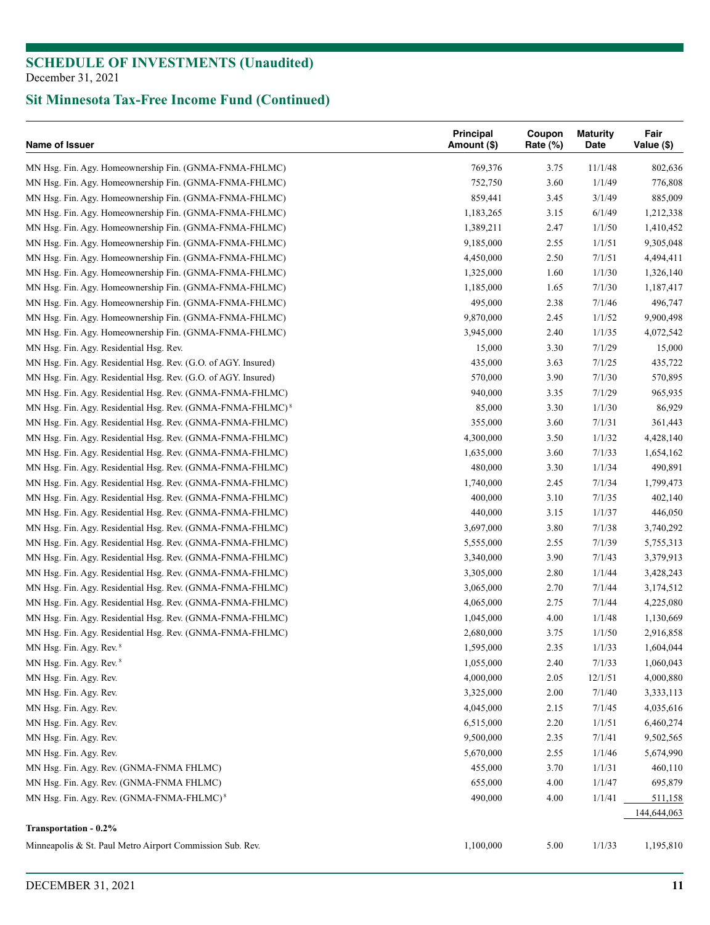| Name of Issuer                                                 | <b>Principal</b><br>Amount (\$) | Coupon<br>Rate (%) | <b>Maturity</b><br>Date | Fair<br>Value (\$) |
|----------------------------------------------------------------|---------------------------------|--------------------|-------------------------|--------------------|
| MN Hsg. Fin. Agy. Homeownership Fin. (GNMA-FNMA-FHLMC)         | 769,376                         | 3.75               | 11/1/48                 | 802,636            |
| MN Hsg. Fin. Agy. Homeownership Fin. (GNMA-FNMA-FHLMC)         | 752,750                         | 3.60               | 1/1/49                  | 776,808            |
| MN Hsg. Fin. Agy. Homeownership Fin. (GNMA-FNMA-FHLMC)         | 859,441                         | 3.45               | 3/1/49                  | 885,009            |
| MN Hsg. Fin. Agy. Homeownership Fin. (GNMA-FNMA-FHLMC)         | 1,183,265                       | 3.15               | 6/1/49                  | 1,212,338          |
| MN Hsg. Fin. Agy. Homeownership Fin. (GNMA-FNMA-FHLMC)         | 1,389,211                       | 2.47               | 1/1/50                  | 1,410,452          |
| MN Hsg. Fin. Agy. Homeownership Fin. (GNMA-FNMA-FHLMC)         | 9,185,000                       | 2.55               | 1/1/51                  | 9,305,048          |
| MN Hsg. Fin. Agy. Homeownership Fin. (GNMA-FNMA-FHLMC)         | 4,450,000                       | 2.50               | 7/1/51                  | 4,494,411          |
| MN Hsg. Fin. Agy. Homeownership Fin. (GNMA-FNMA-FHLMC)         | 1,325,000                       | 1.60               | 1/1/30                  | 1,326,140          |
| MN Hsg. Fin. Agy. Homeownership Fin. (GNMA-FNMA-FHLMC)         | 1,185,000                       | 1.65               | 7/1/30                  | 1,187,417          |
| MN Hsg. Fin. Agy. Homeownership Fin. (GNMA-FNMA-FHLMC)         | 495,000                         | 2.38               | 7/1/46                  | 496,747            |
| MN Hsg. Fin. Agy. Homeownership Fin. (GNMA-FNMA-FHLMC)         | 9,870,000                       | 2.45               | 1/1/52                  | 9,900,498          |
| MN Hsg. Fin. Agy. Homeownership Fin. (GNMA-FNMA-FHLMC)         | 3,945,000                       | 2.40               | 1/1/35                  | 4,072,542          |
| MN Hsg. Fin. Agy. Residential Hsg. Rev.                        | 15,000                          | 3.30               | 7/1/29                  | 15,000             |
| MN Hsg. Fin. Agy. Residential Hsg. Rev. (G.O. of AGY. Insured) | 435,000                         | 3.63               | 7/1/25                  | 435,722            |
| MN Hsg. Fin. Agy. Residential Hsg. Rev. (G.O. of AGY. Insured) | 570,000                         | 3.90               | 7/1/30                  | 570,895            |
| MN Hsg. Fin. Agy. Residential Hsg. Rev. (GNMA-FNMA-FHLMC)      | 940,000                         | 3.35               | 7/1/29                  | 965,935            |
|                                                                | 85,000                          | 3.30               | 1/1/30                  | 86,929             |
| MN Hsg. Fin. Agy. Residential Hsg. Rev. (GNMA-FNMA-FHLMC) $^8$ |                                 |                    | 7/1/31                  | 361,443            |
| MN Hsg. Fin. Agy. Residential Hsg. Rev. (GNMA-FNMA-FHLMC)      | 355,000                         | 3.60               |                         |                    |
| MN Hsg. Fin. Agy. Residential Hsg. Rev. (GNMA-FNMA-FHLMC)      | 4,300,000                       | 3.50               | 1/1/32                  | 4,428,140          |
| MN Hsg. Fin. Agy. Residential Hsg. Rev. (GNMA-FNMA-FHLMC)      | 1,635,000                       | 3.60               | 7/1/33                  | 1,654,162          |
| MN Hsg. Fin. Agy. Residential Hsg. Rev. (GNMA-FNMA-FHLMC)      | 480,000                         | 3.30               | 1/1/34                  | 490,891            |
| MN Hsg. Fin. Agy. Residential Hsg. Rev. (GNMA-FNMA-FHLMC)      | 1,740,000                       | 2.45               | 7/1/34                  | 1,799,473          |
| MN Hsg. Fin. Agy. Residential Hsg. Rev. (GNMA-FNMA-FHLMC)      | 400,000                         | 3.10               | 7/1/35                  | 402,140            |
| MN Hsg. Fin. Agy. Residential Hsg. Rev. (GNMA-FNMA-FHLMC)      | 440,000                         | 3.15               | 1/1/37                  | 446,050            |
| MN Hsg. Fin. Agy. Residential Hsg. Rev. (GNMA-FNMA-FHLMC)      | 3,697,000                       | 3.80               | 7/1/38                  | 3,740,292          |
| MN Hsg. Fin. Agy. Residential Hsg. Rev. (GNMA-FNMA-FHLMC)      | 5,555,000                       | 2.55               | 7/1/39                  | 5,755,313          |
| MN Hsg. Fin. Agy. Residential Hsg. Rev. (GNMA-FNMA-FHLMC)      | 3,340,000                       | 3.90               | 7/1/43                  | 3,379,913          |
| MN Hsg. Fin. Agy. Residential Hsg. Rev. (GNMA-FNMA-FHLMC)      | 3,305,000                       | 2.80               | 1/1/44                  | 3,428,243          |
| MN Hsg. Fin. Agy. Residential Hsg. Rev. (GNMA-FNMA-FHLMC)      | 3,065,000                       | 2.70               | 7/1/44                  | 3,174,512          |
| MN Hsg. Fin. Agy. Residential Hsg. Rev. (GNMA-FNMA-FHLMC)      | 4,065,000                       | 2.75               | 7/1/44                  | 4,225,080          |
| MN Hsg. Fin. Agy. Residential Hsg. Rev. (GNMA-FNMA-FHLMC)      | 1,045,000                       | 4.00               | 1/1/48                  | 1,130,669          |
| MN Hsg. Fin. Agy. Residential Hsg. Rev. (GNMA-FNMA-FHLMC)      | 2,680,000                       | 3.75               | 1/1/50                  | 2,916,858          |
| MN Hsg. Fin. Agy. Rev. 8                                       | 1,595,000                       | 2.35               | 1/1/33                  | 1,604,044          |
| MN Hsg. Fin. Agy. Rev. 8                                       | 1,055,000                       | 2.40               | 7/1/33                  | 1,060,043          |
| MN Hsg. Fin. Agy. Rev.                                         | 4,000,000                       | 2.05               | 12/1/51                 | 4,000,880          |
| MN Hsg. Fin. Agy. Rev.                                         | 3,325,000                       | 2.00               | 7/1/40                  | 3,333,113          |
| MN Hsg. Fin. Agy. Rev.                                         | 4,045,000                       | 2.15               | 7/1/45                  | 4,035,616          |
| MN Hsg. Fin. Agy. Rev.                                         | 6,515,000                       | 2.20               | 1/1/51                  | 6,460,274          |
| MN Hsg. Fin. Agy. Rev.                                         | 9,500,000                       | 2.35               | 7/1/41                  | 9,502,565          |
| MN Hsg. Fin. Agy. Rev.                                         | 5,670,000                       | 2.55               | 1/1/46                  | 5,674,990          |
| MN Hsg. Fin. Agy. Rev. (GNMA-FNMA FHLMC)                       | 455,000                         | 3.70               | 1/1/31                  | 460,110            |
| MN Hsg. Fin. Agy. Rev. (GNMA-FNMA FHLMC)                       | 655,000                         | 4.00               | 1/1/47                  | 695,879            |
| MN Hsg. Fin. Agy. Rev. (GNMA-FNMA-FHLMC) <sup>8</sup>          | 490,000                         | 4.00               | 1/1/41                  | 511,158            |
|                                                                |                                 |                    |                         | 144,644,063        |
| Transportation - 0.2%                                          |                                 |                    |                         |                    |
| Minneapolis & St. Paul Metro Airport Commission Sub. Rev.      | 1,100,000                       | 5.00               | 1/1/33                  | 1,195,810          |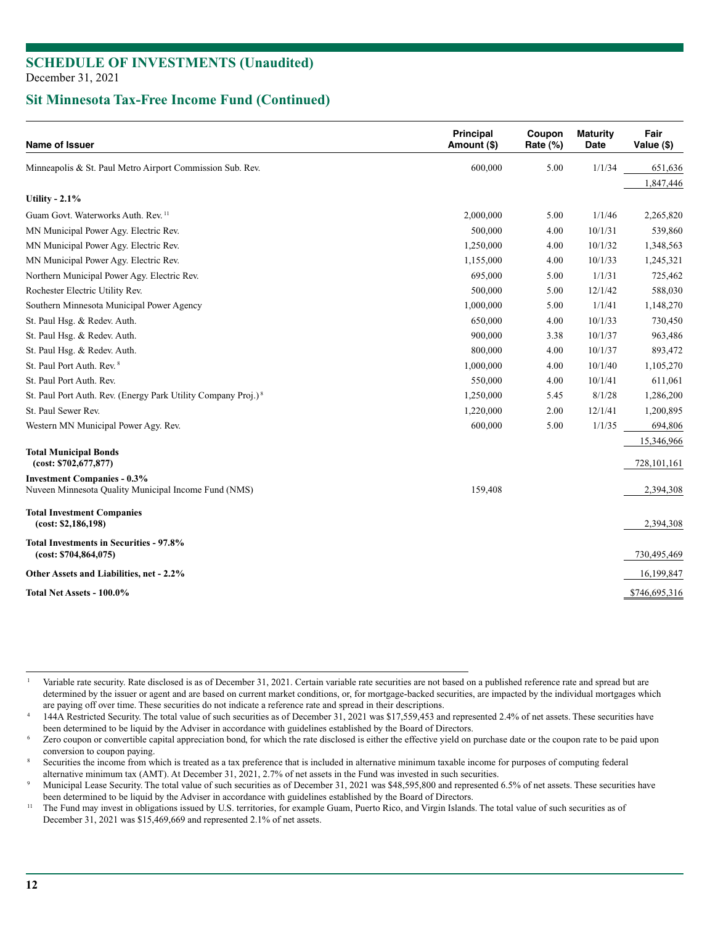# **SCHEDULE OF INVESTMENTS (Unaudited)**

December 31, 2021

### **Sit Minnesota Tax-Free Income Fund (Continued)**

| Name of Issuer                                                            | <b>Principal</b><br>Amount (\$) | Coupon<br>Rate (%) | <b>Maturity</b><br>Date | Fair<br>Value (\$) |
|---------------------------------------------------------------------------|---------------------------------|--------------------|-------------------------|--------------------|
| Minneapolis & St. Paul Metro Airport Commission Sub. Rev.                 | 600,000                         | 5.00               | 1/1/34                  | 651,636            |
|                                                                           |                                 |                    |                         | 1,847,446          |
| Utility - $2.1\%$                                                         |                                 |                    |                         |                    |
| Guam Govt. Waterworks Auth. Rev. <sup>11</sup>                            | 2,000,000                       | 5.00               | 1/1/46                  | 2,265,820          |
| MN Municipal Power Agy. Electric Rev.                                     | 500,000                         | 4.00               | 10/1/31                 | 539,860            |
| MN Municipal Power Agy. Electric Rev.                                     | 1,250,000                       | 4.00               | 10/1/32                 | 1,348,563          |
| MN Municipal Power Agy. Electric Rev.                                     | 1,155,000                       | 4.00               | 10/1/33                 | 1,245,321          |
| Northern Municipal Power Agy. Electric Rev.                               | 695,000                         | 5.00               | 1/1/31                  | 725,462            |
| Rochester Electric Utility Rev.                                           | 500,000                         | 5.00               | 12/1/42                 | 588,030            |
| Southern Minnesota Municipal Power Agency                                 | 1,000,000                       | 5.00               | 1/1/41                  | 1,148,270          |
| St. Paul Hsg. & Redev. Auth.                                              | 650,000                         | 4.00               | 10/1/33                 | 730,450            |
| St. Paul Hsg. & Redev. Auth.                                              | 900,000                         | 3.38               | 10/1/37                 | 963,486            |
| St. Paul Hsg. & Redev. Auth.                                              | 800,000                         | 4.00               | 10/1/37                 | 893,472            |
| St. Paul Port Auth. Rev. <sup>8</sup>                                     | 1,000,000                       | 4.00               | 10/1/40                 | 1,105,270          |
| St. Paul Port Auth. Rev.                                                  | 550,000                         | 4.00               | 10/1/41                 | 611,061            |
| St. Paul Port Auth. Rev. (Energy Park Utility Company Proj.) <sup>8</sup> | 1,250,000                       | 5.45               | 8/1/28                  | 1,286,200          |
| St. Paul Sewer Rev.                                                       | 1,220,000                       | 2.00               | 12/1/41                 | 1,200,895          |
| Western MN Municipal Power Agy. Rev.                                      | 600,000                         | 5.00               | 1/1/35                  | 694,806            |
|                                                                           |                                 |                    |                         | 15,346,966         |
| <b>Total Municipal Bonds</b><br>(cost: \$702,677,877)                     |                                 |                    |                         | 728,101,161        |
| <b>Investment Companies - 0.3%</b>                                        |                                 |                    |                         |                    |
| Nuveen Minnesota Quality Municipal Income Fund (NMS)                      | 159,408                         |                    |                         | 2,394,308          |
| <b>Total Investment Companies</b><br>(cost: \$2,186,198)                  |                                 |                    |                         | 2,394,308          |
| Total Investments in Securities - 97.8%<br>(cost: \$704,864,075)          |                                 |                    |                         | 730,495,469        |
| Other Assets and Liabilities, net - 2.2%                                  |                                 |                    |                         | 16,199,847         |
| <b>Total Net Assets - 100.0%</b>                                          |                                 |                    |                         | \$746,695,316      |

Variable rate security. Rate disclosed is as of December 31, 2021. Certain variable rate securities are not based on a published reference rate and spread but are determined by the issuer or agent and are based on current market conditions, or, for mortgage-backed securities, are impacted by the individual mortgages which

are paying off over time. These securities do not indicate a reference rate and spread in their descriptions.<br>144A Restricted Security. The total value of such securities as of December 31, 2021 was \$17,559,453 and represe

Zero coupon or convertible capital appreciation bond, for which the rate disclosed is either the effective yield on purchase date or the coupon rate to be paid upon

conversion to coupon paying.<br>Securities the income from which is treated as a tax preference that is included in alternative minimum taxable income for purposes of computing federal

alternative minimum tax (AMT). At December 31, 2021, 2.7% of net assets in the Fund was invested in such securities.<br>Municipal Lease Security. The total value of such securities as of December 31, 2021 was \$48,595,800 and been determined to be liquid by the Adviser in accordance with guidelines established by the Board of Directors.<br><sup>11</sup> The Fund may invest in obligations issued by U.S. territories, for example Guam, Puerto Rico, and Virgin

December 31, 2021 was \$15,469,669 and represented 2.1% of net assets.